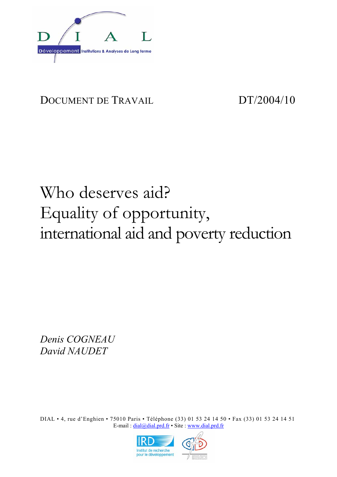

## DOCUMENT DE TRAVAIL DT/2004/10

# Who deserves aid? Equality of opportunity, international aid and poverty reduction

*Denis COGNEAU David NAUDET* 

DIAL • 4, rue d'Enghien • 75010 Paris • Téléphone (33) 01 53 24 14 50 • Fax (33) 01 53 24 14 51 E-mail : dial@dial.prd.fr • Site : www.dial.prd.fr

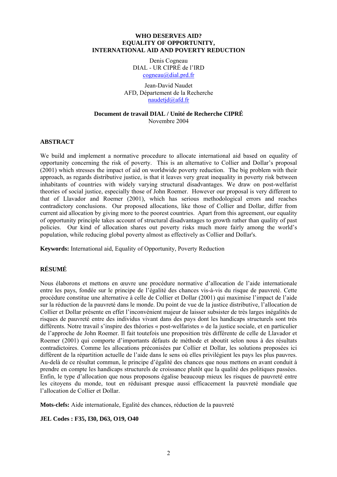#### **WHO DESERVES AID? EQUALITY OF OPPORTUNITY, INTERNATIONAL AID AND POVERTY REDUCTION**

Denis Cogneau DIAL - UR CIPRÉ de l'IRD cogneau@dial.prd.fr

Jean-David Naudet AFD, Département de la Recherche naudetjd@afd.fr

#### **Document de travail DIAL / Unité de Recherche CIPRÉ** Novembre 2004

#### **ABSTRACT**

We build and implement a normative procedure to allocate international aid based on equality of opportunity concerning the risk of poverty. This is an alternative to Collier and Dollar's proposal (2001) which stresses the impact of aid on worldwide poverty reduction. The big problem with their approach, as regards distributive justice, is that it leaves very great inequality in poverty risk between inhabitants of countries with widely varying structural disadvantages. We draw on post-welfarist theories of social justice, especially those of John Roemer. However our proposal is very different to that of Llavador and Roemer (2001), which has serious methodological errors and reaches contradictory conclusions. Our proposed allocations, like those of Collier and Dollar, differ from current aid allocation by giving more to the poorest countries. Apart from this agreement, our equality of opportunity principle takes account of structural disadvantages to growth rather than quality of past policies. Our kind of allocation shares out poverty risks much more fairly among the world's population, while reducing global poverty almost as effectively as Collier and Dollar's.

**Keywords:** International aid, Equality of Opportunity, Poverty Reduction

#### **RÉSUMÉ**

Nous élaborons et mettons en œuvre une procédure normative d'allocation de l'aide internationale entre les pays, fondée sur le principe de l'égalité des chances vis-à-vis du risque de pauvreté. Cette procédure constitue une alternative à celle de Collier et Dollar (2001) qui maximise l'impact de l'aide sur la réduction de la pauvreté dans le monde. Du point de vue de la justice distributive, l'allocation de Collier et Dollar présente en effet l'inconvénient majeur de laisser subsister de très larges inégalités de risques de pauvreté entre des individus vivant dans des pays dont les handicaps structurels sont très différents. Notre travail s'inspire des théories « post-welfaristes » de la justice sociale, et en particulier de l'approche de John Roemer. Il fait toutefois une proposition très différente de celle de Llavador et Roemer (2001) qui comporte d'importants défauts de méthode et aboutit selon nous à des résultats contradictoires. Comme les allocations préconisées par Collier et Dollar, les solutions proposées ici diffèrent de la répartition actuelle de l'aide dans le sens où elles privilégient les pays les plus pauvres. Au-delà de ce résultat commun, le principe d'égalité des chances que nous mettons en avant conduit à prendre en compte les handicaps structurels de croissance plutôt que la qualité des politiques passées. Enfin, le type d'allocation que nous proposons égalise beaucoup mieux les risques de pauvreté entre les citoyens du monde, tout en réduisant presque aussi efficacement la pauvreté mondiale que l'allocation de Collier et Dollar.

**Mots-clefs:** Aide internationale, Egalité des chances, réduction de la pauvreté

#### **JEL Codes : F35, I30, D63, O19, O40**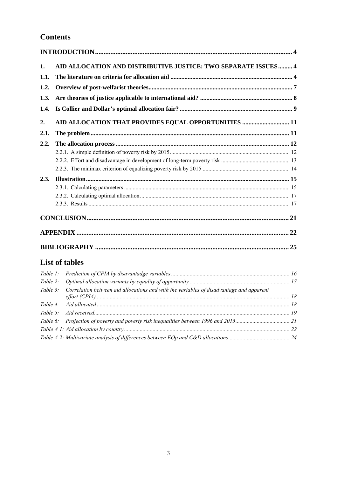## **Contents**

| 1.          | AID ALLOCATION AND DISTRIBUTIVE JUSTICE: TWO SEPARATE ISSUES  4                         |  |
|-------------|-----------------------------------------------------------------------------------------|--|
| 1.1.        |                                                                                         |  |
| 1.2.        |                                                                                         |  |
| 1.3.        |                                                                                         |  |
| 1.4.        |                                                                                         |  |
|             |                                                                                         |  |
| 2.          | AID ALLOCATION THAT PROVIDES EQUAL OPPORTUNITIES  11                                    |  |
| 2.1.        |                                                                                         |  |
| 2.2.        |                                                                                         |  |
|             |                                                                                         |  |
|             |                                                                                         |  |
|             |                                                                                         |  |
| 2.3.        |                                                                                         |  |
|             |                                                                                         |  |
|             |                                                                                         |  |
|             |                                                                                         |  |
|             |                                                                                         |  |
|             |                                                                                         |  |
|             |                                                                                         |  |
|             | <b>List of tables</b>                                                                   |  |
| Table $l$ : |                                                                                         |  |
| Table $2$ : |                                                                                         |  |
| Table $3$ : | Correlation between aid allocations and with the variables of disadvantage and apparent |  |
| Table 4:    |                                                                                         |  |
| Table $5$ : |                                                                                         |  |
| Table 6:    |                                                                                         |  |
|             |                                                                                         |  |
|             |                                                                                         |  |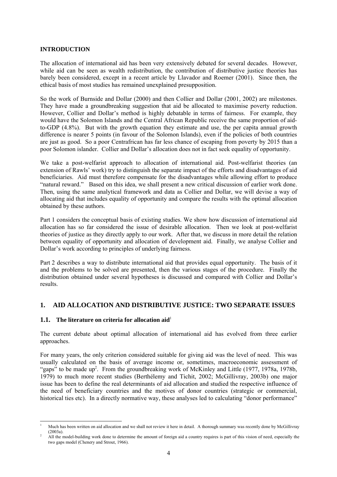#### **INTRODUCTION**

The allocation of international aid has been very extensively debated for several decades. However, while aid can be seen as wealth redistribution, the contribution of distributive justice theories has barely been considered, except in a recent article by Llavador and Roemer (2001). Since then, the ethical basis of most studies has remained unexplained presupposition.

So the work of Burnside and Dollar (2000) and then Collier and Dollar (2001, 2002) are milestones. They have made a groundbreaking suggestion that aid be allocated to maximise poverty reduction. However, Collier and Dollar's method is highly debatable in terms of fairness. For example, they would have the Solomon Islands and the Central African Republic receive the same proportion of aidto-GDP (4.8%). But with the growth equation they estimate and use, the per capita annual growth difference is nearer 5 points (in favour of the Solomon Islands), even if the policies of both countries are just as good. So a poor Centrafrican has far less chance of escaping from poverty by 2015 than a poor Solomon islander. Collier and Dollar's allocation does not in fact seek equality of opportunity.

We take a post-welfarist approach to allocation of international aid. Post-welfarist theories (an extension of Rawls' work) try to distinguish the separate impact of the efforts and disadvantages of aid beneficiaries. Aid must therefore compensate for the disadvantages while allowing effort to produce "natural reward." Based on this idea, we shall present a new critical discussion of earlier work done. Then, using the same analytical framework and data as Collier and Dollar, we will devise a way of allocating aid that includes equality of opportunity and compare the results with the optimal allocation obtained by these authors.

Part 1 considers the conceptual basis of existing studies. We show how discussion of international aid allocation has so far considered the issue of desirable allocation. Then we look at post-welfarist theories of justice as they directly apply to our work. After that, we discuss in more detail the relation between equality of opportunity and allocation of development aid. Finally, we analyse Collier and Dollar's work according to principles of underlying fairness.

Part 2 describes a way to distribute international aid that provides equal opportunity. The basis of it and the problems to be solved are presented, then the various stages of the procedure. Finally the distribution obtained under several hypotheses is discussed and compared with Collier and Dollar's results.

#### **1. AID ALLOCATION AND DISTRIBUTIVE JUSTICE: TWO SEPARATE ISSUES**

#### **1.1.** The literature on criteria for allocation aid<sup>1</sup>

The current debate about optimal allocation of international aid has evolved from three earlier approaches.

For many years, the only criterion considered suitable for giving aid was the level of need. This was usually calculated on the basis of average income or, sometimes, macroeconomic assessment of "gaps" to be made up<sup>2</sup>. From the groundbreaking work of McKinley and Little (1977, 1978a, 1978b, 1979) to much more recent studies (Berthélemy and Tichit, 2002; McGillivray, 2003b) one major issue has been to define the real determinants of aid allocation and studied the respective influence of the need of beneficiary countries and the motives of donor countries (strategic or commercial, historical ties etc). In a directly normative way, these analyses led to calculating "donor performance"

l 1 Much has been written on aid allocation and we shall not review it here in detail. A thorough summary was recently done by McGillivray (2003a).<br><sup>2</sup> All the model-building work done to determine the amount of foreign aid a country requires is part of this vision of need, especially the

two gaps model (Chenery and Strout, 1966).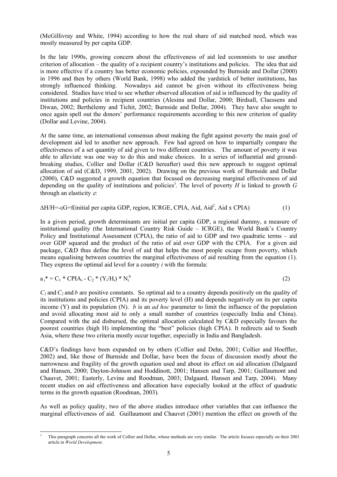(McGillivray and White, 1994) according to how the real share of aid matched need, which was mostly measured by per capita GDP.

In the late 1990s, growing concern about the effectiveness of aid led economists to use another criterion of allocation – the quality of a recipient country's institutions and policies. The idea that aid is more effective if a country has better economic policies, expounded by Burnside and Dollar (2000) in 1996 and then by others (World Bank, 1998) who added the yardstick of better institutions, has strongly influenced thinking. Nowadays aid cannot be given without its effectiveness being considered. Studies have tried to see whether observed allocation of aid is influenced by the quality of institutions and policies in recipient countries (Alesina and Dollar, 2000; Birdsall, Claessens and Diwan, 2002; Berthélemy and Tichit, 2002; Burnside and Dollar, 2004). They have also sought to once again spell out the donors' performance requirements according to this new criterion of quality (Dollar and Levine, 2004).

At the same time, an international consensus about making the fight against poverty the main goal of development aid led to another new approach. Few had agreed on how to impartially compare the effectiveness of a set quantity of aid given to two different countries. The amount of poverty it was able to alleviate was one way to do this and make choices. In a series of influential and groundbreaking studies, Collier and Dollar (C&D hereafter) used this new approach to suggest optimal allocation of aid (C&D, 1999, 2001, 2002). Drawing on the previous work of Burnside and Dollar (2000), C&D suggested a growth equation that focused on decreasing marginal effectiveness of aid depending on the quality of institutions and policies<sup>3</sup>. The level of poverty  $H$  is linked to growth  $G$ through an elasticity  $\varepsilon$ .

 $\Delta H/H$ =-εG=f(initial per capita GDP, region, ICRGE, CPIA, Aid, Aid<sup>2</sup>, Aid x CPIA) (1)

In a given period, growth determinants are initial per capita GDP, a regional dummy, a measure of institutional quality (the International Country Risk Guide – ICRGE), the World Bank's Country Policy and Institutional Assessment (CPIA), the ratio of aid to GDP and two quadratic terms – aid over GDP squared and the product of the ratio of aid over GDP with the CPIA. For a given aid package, C&D thus define the level of aid that helps the most people escape from poverty, which means equalising between countries the marginal effectiveness of aid resulting from the equation (1). They express the optimal aid level for a country *i* with the formula:

 $a_i^* = C_1^* \text{CPIA}_i - C_2^* (Y_i / H_i)^* N_i^b$  $\mathfrak{b}$  (2)

 $C_1$  and  $C_2$  and *b* are positive constants. So optimal aid to a country depends positively on the quality of its institutions and policies (CPIA) and its poverty level (H) and depends negatively on its per capita income (Y) and its population (N). *b* is an *ad hoc* parameter to limit the influence of the population and avoid allocating most aid to only a small number of countries (especially India and China). Compared with the aid disbursed, the optimal allocation calculated by C&D especially favours the poorest countries (high H) implementing the "best" policies (high CPIA). It redirects aid to South Asia, where these two criteria mostly occur together, especially in India and Bangladesh.

C&D's findings have been expanded on by others (Collier and Dehn, 2001; Collier and Hoeffler, 2002) and, like those of Burnside and Dollar, have been the focus of discussion mostly about the narrowness and fragility of the growth equation used and about its effect on aid allocation (Dalgaard and Hansen, 2000; Dayton-Johnson and Hoddinott, 2001; Hansen and Tarp, 2001; Guillaumont and Chauvet, 2001; Easterly, Levine and Roodman, 2003; Dalgaard, Hansen and Tarp, 2004). Many recent studies on aid effectiveness and allocation have especially looked at the effect of quadratic terms in the growth equation (Roodman, 2003).

As well as policy quality, two of the above studies introduce other variables that can influence the marginal effectiveness of aid. Guillaumont and Chauvet (2001) mention the effect on growth of the

l 3 This paragraph concerns all the work of Collier and Dollar, whose methods are very similar. The article focuses especially on their 2001 article in *World Development*.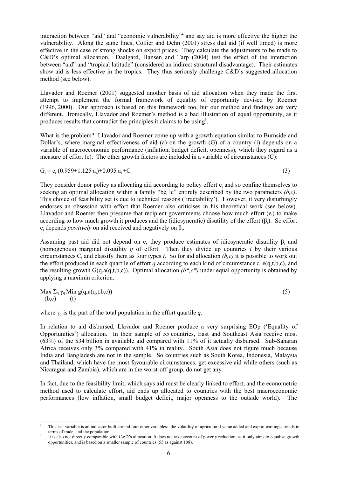interaction between "aid" and "economic vulnerability"4 and say aid is more effective the higher the vulnerability. Along the same lines, Collier and Dehn (2001) stress that aid (if well timed) is more effective in the case of strong shocks on export prices. They calculate the adjustments to be made to C&D's optimal allocation. Daalgard, Hansen and Tarp (2004) test the effect of the interaction between "aid" and "tropical latitude" (considered an indirect structural disadvantage). Their estimates show aid is less effective in the tropics. They thus seriously challenge C&D's suggested allocation method (see below).

Llavador and Roemer (2001) suggested another basis of aid allocation when they made the first attempt to implement the formal framework of equality of opportunity devised by Roemer (1996, 2000). Our approach is based on this framework too, but our method and findings are very different. Ironically, Llavador and Roemer's method is a bad illustration of equal opportunity, as it produces results that contradict the principles it claims to be using<sup>5</sup>.

What is the problem? Llavador and Roemer come up with a growth equation similar to Burnside and Dollar's, where marginal effectiveness of aid (a) on the growth (G) of a country (i) depends on a variable of macroeconomic performance (inflation, budget deficit, openness), which they regard as a measure of effort (e). The other growth factors are included in a variable of circumstances (C):

$$
G_i = e_i (0.959 + 1.125 a_i) + 0.095 a_i + C_i
$$
 (3)

They consider donor policy as allocating aid according to policy effort ei and so confine themselves to seeking an optimal allocation within a family "be<sub>i</sub>+c" entirely described by the two parameters  $(b, c)$ . This choice of feasibility set is due to technical reasons ('tractability'). However, it very disturbingly endorses an obsession with effort that Roemer also criticises in his theoretical work (see below). Llavador and Roemer then presume that recipient governments choose how much effort (ei) to make according to how much growth it produces and the (idiosyncratic) disutility of the effort (βi). So effort ei depends *positively* on aid received and negatively on βi.

Assuming past aid did not depend on e, they produce estimates of idiosyncratic disutility  $\beta_i$  and (homogenous) marginal disutility *η* of effort. Then they divide up countries *i* by their various circumstances  $C_i$  and classify them as four types *t*. So for aid allocation *(b,c)* it is possible to work out the effort produced in each quartile of effort *q* according to each kind of circumstance *t:* e(q,t,b,c), and the resulting growth  $G(q, a(q,t,b,c))$ . Optimal allocation  $(b^*, c^*)$  under equal opportunity is obtained by applying a maximin criterion:

$$
\begin{array}{c}\n\text{Max } \Sigma_q \gamma_q \text{Min } g(q, a(q, t, b, c)) \\
\text{(b, c)} \qquad \text{(t)}\n\end{array} \n\tag{5}
$$

where  $\gamma_q$  is the part of the total population in the effort quartile *q*.

In relation to aid disbursed, Llavador and Roemer produce a very surprising EOp ('Equality of Opportunities') allocation. In their sample of 55 countries, East and Southeast Asia receive most (63%) of the \$34 billion in available aid compared with 11% of it actually disbursed. Sub-Saharan Africa receives only 3% compared with 41% in reality. South Asia does not figure much because India and Bangladesh are not in the sample. So countries such as South Korea, Indonesia, Malaysia and Thailand, which have the most favourable circumstances, get excessive aid while others (such as Nicaragua and Zambia), which are in the worst-off group, do not get any.

In fact, due to the feasibility limit, which says aid must be clearly linked to effort, and the econometric method used to calculate effort, aid ends up allocated to countries with the best macroeconomic performances (low inflation, small budget deficit, major openness to the outside world). The

l 4 This last variable is an indicator built around four other variables: the volatility of agricultural value added and export earnings, trends in terms of trade, and the population.

It is also not directly comparable with C&D's allocation. It does not take account of poverty reduction, as it only aims to equalise growth opportunities, and is based on a smaller sample of countries (55 as against 108).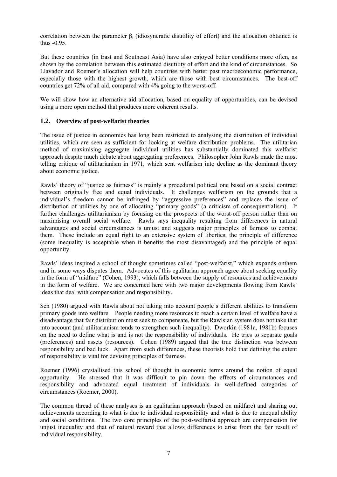correlation between the parameter  $\beta_i$  (idiosyncratic disutility of effort) and the allocation obtained is thus -0.95.

But these countries (in East and Southeast Asia) have also enjoyed better conditions more often, as shown by the correlation between this estimated disutility of effort and the kind of circumstances. So Llavador and Roemer's allocation will help countries with better past macroeconomic performance, especially those with the highest growth, which are those with best circumstances. The best-off countries get 72% of all aid, compared with 4% going to the worst-off.

We will show how an alternative aid allocation, based on equality of opportunities, can be devised using a more open method that produces more coherent results.

#### **1.2. Overview of post-welfarist theories**

The issue of justice in economics has long been restricted to analysing the distribution of individual utilities, which are seen as sufficient for looking at welfare distribution problems. The utilitarian method of maximising aggregate individual utilities has substantially dominated this welfarist approach despite much debate about aggregating preferences. Philosopher John Rawls made the most telling critique of utilitarianism in 1971, which sent welfarism into decline as the dominant theory about economic justice.

Rawls' theory of "justice as fairness" is mainly a procedural political one based on a social contract between originally free and equal individuals. It challenges welfarism on the grounds that a individual's freedom cannot be infringed by "aggressive preferences" and replaces the issue of distribution of utilities by one of allocating "primary goods" (a criticism of consequentialism). It further challenges utilitarianism by focusing on the prospects of the worst-off person rather than on maximising overall social welfare. Rawls says inequality resulting from differences in natural advantages and social circumstances is unjust and suggests major principles of fairness to combat them. These include an equal right to an extensive system of liberties, the principle of difference (some inequality is acceptable when it benefits the most disavantaged) and the principle of equal opportunity.

Rawls' ideas inspired a school of thought sometimes called "post-welfarist," which expands onthem and in some ways disputes them. Advocates of this egalitarian approach agree about seeking equality in the form of "midfare" (Cohen, 1993), which falls between the supply of resources and achievements in the form of welfare. We are concerned here with two major developments flowing from Rawls' ideas that deal with compensation and responsibility.

Sen (1980) argued with Rawls about not taking into account people's different abilities to transform primary goods into welfare. People needing more resources to reach a certain level of welfare have a disadvantage that fair distribution must seek to compensate, but the Rawlsian system does not take that into account (and utilitarianism tends to strengthen such inequality). Dworkin (1981a, 1981b) focuses on the need to define what is and is not the responsibility of individuals. He tries to separate goals (preferences) and assets (resources). Cohen (1989) argued that the true distinction was between responsibility and bad luck. Apart from such differences, these theorists hold that defining the extent of responsibility is vital for devising principles of fairness.

Roemer (1996) crystallised this school of thought in economic terms around the notion of equal opportunity. He stressed that it was difficult to pin down the effects of circumstances and responsibility and advocated equal treatment of individuals in well-defined categories of circumstances (Roemer, 2000).

The common thread of these analyses is an egalitarian approach (based on midfare) and sharing out achievements according to what is due to individual responsibility and what is due to unequal ability and social conditions. The two core principles of the post-welfarist approach are compensation for unjust inequality and that of natural reward that allows differences to arise from the fair result of individual responsibility.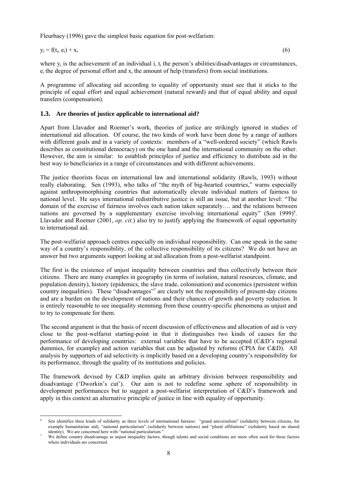Fleurbaey (1996) gave the simplest basic equation for post-welfarism:

$$
y_i = f(t_i, e_i) + x_i \tag{6}
$$

where  $y_i$  is the achievement of an individual i,  $t_i$  the person's abilities/disadvantages or circumstances,  $e_i$  the degree of personal effort and  $x_i$  the amount of help (transfers) from social institutions.

A programme of allocating aid according to equality of opportunity must see that it sticks to the principle of equal effort and equal achievement (natural reward) and that of equal ability and equal transfers (compensation).

#### **1.3. Are theories of justice applicable to international aid?**

Apart from Llavador and Roemer's work, theories of justice are strikingly ignored in studies of international aid allocation. Of course, the two kinds of work have been done by a range of authors with different goals and in a variety of contexts: members of a "well-ordered society" (which Rawls describes as constitutional democracy) on the one hand and the international community on the other. However, the aim is similar: to establish principles of justice and efficiency to distribute aid in the best way to beneficiaries in a range of circumstances and with different achievements.

The justice theorists focus on international law and international solidarity (Rawls, 1993) without really elaborating. Sen (1993), who talks of "the myth of big-hearted countries," warns especially against anthropomorphising countries that automatically elevate individual matters of fairness to national level. He says international redistributive justice is still an issue, but at another level: "The domain of the exercise of fairness involves each nation taken separately…. and the relations between nations are governed by a supplementary exercise involving international equity" (Sen 1999)<sup>6</sup>. Llavador and Roemer (2001, *op. cit.*) also try to justify applying the framework of equal opportunity to international aid.

The post-welfarist approach centres especially on individual responsibility. Can one speak in the same way of a country's responsibility, of the collective responsibility of its citizens? We do not have an answer but two arguments support looking at aid allocation from a post-welfarist standpoint.

The first is the existence of unjust inequality between countries and thus collectively between their citizens. There are many examples in geography (in terms of isolation, natural resources, climate, and population density), history (epidemics, the slave trade, colonisation) and economics (persistent within country inequalities). These "disadvantages"<sup>7</sup> are clearly not the responsibility of present-day citizens and are a burden on the development of nations and their chances of growth and poverty reduction. It is entirely reasonable to see inequality stemming from these country-specific phenomena as unjust and to try to compensate for them.

The second argument is that the basis of recent discussion of effectiveness and allocation of aid is very close to the post-welfarist starting-point in that it distinguishes two kinds of causes for the performance of developing countries: external variables that have to be accepted (C&D's regional dummies, for example) and action variables that can be adjusted by reforms (CPIA for C&D). All analysis by supporters of aid selectivity is implicitly based on a developing country's responsibility for its performance, through the quality of its institutions and policies.

The framework devised by C&D implies quite an arbitrary division between responsibility and disadvantage ('Dworkin's cut'). Our aim is not to redefine some sphere of responsibility in development performances but to suggest a post-welfarist interpretation of C&D's framework and apply in this context an alternative principle of justice in line with equality of opportunity.

l 6 Sen identifies three kinds of solidarity as three levels of international fairness: "grand universalism" (solidarity between citizens, for example humanitarian aid), "national particularism" (solidarity between nations) and "plural affiliations" (solidarity based on shared identity). We are concerned here with "national particularism."

We define country disadvantage as unjust inequality factors, though talents and social conditions are more often used for these factors where individuals are concerned.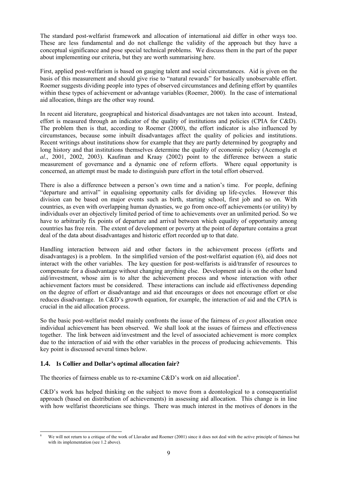The standard post-welfarist framework and allocation of international aid differ in other ways too. These are less fundamental and do not challenge the validity of the approach but they have a conceptual significance and pose special technical problems. We discuss them in the part of the paper about implementing our criteria, but they are worth summarising here.

First, applied post-welfarism is based on gauging talent and social circumstances. Aid is given on the basis of this measurement and should give rise to "natural rewards" for basically unobservable effort. Roemer suggests dividing people into types of observed circumstances and defining effort by quantiles within these types of achievement or advantage variables (Roemer, 2000). In the case of international aid allocation, things are the other way round.

In recent aid literature, geographical and historical disadvantages are not taken into account. Instead, effort is measured through an indicator of the quality of institutions and policies (CPIA for C&D). The problem then is that, according to Roemer (2000), the effort indicator is also influenced by circumstances, because some inbuilt disadvantages affect the quality of policies and institutions. Recent writings about institutions show for example that they are partly determined by geography and long history and that institutions themselves determine the quality of economic policy (Acemoglu et *al*., 2001, 2002, 2003). Kaufman and Kraay (2002) point to the difference between a static measurement of governance and a dynamic one of reform efforts. Where equal opportunity is concerned, an attempt must be made to distinguish pure effort in the total effort observed.

There is also a difference between a person's own time and a nation's time. For people, defining "departure and arrival" in equalising opportunity calls for dividing up life-cycles. However this division can be based on major events such as birth, starting school, first job and so on. With countries, as even with overlapping human dynasties, we go from once-off achievements (or utility) by individuals over an objectively limited period of time to achievements over an unlimited period. So we have to arbitrarily fix points of departure and arrival between which equality of opportunity among countries has free rein. The extent of development or poverty at the point of departure contains a great deal of the data about disadvantages and historic effort recorded up to that date.

Handling interaction between aid and other factors in the achievement process (efforts and disadvantages) is a problem. In the simplified version of the post-welfarist equation (6), aid does not interact with the other variables. The key question for post-welfarists is aid/transfer of resources to compensate for a disadvantage without changing anything else. Development aid is on the other hand aid/investment, whose aim is to alter the achievement process and whose interaction with other achievement factors must be considered. These interactions can include aid effectiveness depending on the degree of effort or disadvantage and aid that encourages or does not encourage effort or else reduces disadvantage. In C&D's growth equation, for example, the interaction of aid and the CPIA is crucial in the aid allocation process.

So the basic post-welfarist model mainly confronts the issue of the fairness of *ex-post* allocation once individual achievement has been observed. We shall look at the issues of fairness and effectiveness together. The link between aid/investment and the level of associated achievement is more complex due to the interaction of aid with the other variables in the process of producing achievements. This key point is discussed several times below.

#### **1.4. Is Collier and Dollar's optimal allocation fair?**

The theories of fairness enable us to re-examine  $C&D$ 's work on aid allocation<sup>8</sup>.

C&D's work has helped thinking on the subject to move from a deontological to a consequentialist approach (based on distribution of achievements) in assessing aid allocation. This change is in line with how welfarist theoreticians see things. There was much interest in the motives of donors in the

l 8 We will not return to a critique of the work of Llavador and Roemer (2001) since it does not deal with the active principle of fairness but with its implementation (see 1.2 above).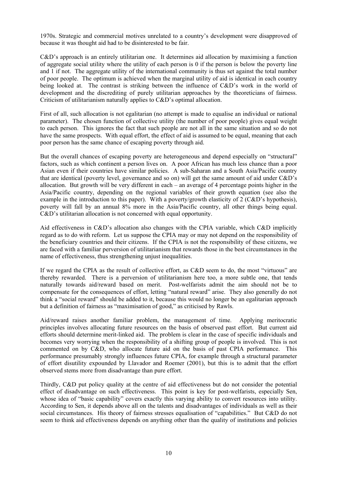1970s. Strategic and commercial motives unrelated to a country's development were disapproved of because it was thought aid had to be disinterested to be fair.

C&D's approach is an entirely utilitarian one. It determines aid allocation by maximising a function of aggregate social utility where the utility of each person is 0 if the person is below the poverty line and 1 if not. The aggregate utility of the international community is thus set against the total number of poor people. The optimum is achieved when the marginal utility of aid is identical in each country being looked at. The contrast is striking between the influence of C&D's work in the world of development and the discrediting of purely utilitarian approaches by the theoreticians of fairness. Criticism of utilitarianism naturally applies to C&D's optimal allocation.

First of all, such allocation is not egalitarian (no attempt is made to equalise an individual or national parameter). The chosen function of collective utility (the number of poor people) gives equal weight to each person. This ignores the fact that such people are not all in the same situation and so do not have the same prospects. With equal effort, the effect of aid is assumed to be equal, meaning that each poor person has the same chance of escaping poverty through aid.

But the overall chances of escaping poverty are heterogeneous and depend especially on "structural" factors, such as which continent a person lives on. A poor African has much less chance than a poor Asian even if their countries have similar policies. A sub-Saharan and a South Asia/Pacific country that are identical (poverty level, governance and so on) will get the same amount of aid under C&D's allocation. But growth will be very different in each – an average of 4 percentage points higher in the Asia/Pacific country, depending on the regional variables of their growth equation (see also the example in the introduction to this paper). With a poverty/growth elasticity of 2 (C&D's hypothesis), poverty will fall by an annual 8% more in the Asia/Pacific country, all other things being equal. C&D's utilitarian allocation is not concerned with equal opportunity.

Aid effectiveness in C&D's allocation also changes with the CPIA variable, which C&D implicitly regard as to do with reform. Let us suppose the CPIA may or may not depend on the responsibility of the beneficiary countries and their citizens. If the CPIA is not the responsibility of these citizens, we are faced with a familiar perversion of utilitarianism that rewards those in the best circumstances in the name of effectiveness, thus strengthening unjust inequalities.

If we regard the CPIA as the result of collective effort, as C&D seem to do, the most "virtuous" are thereby rewarded. There is a perversion of utilitarianism here too, a more subtle one, that tends naturally towards aid/reward based on merit. Post-welfarists admit the aim should not be to compensate for the consequences of effort, letting "natural reward" arise. They also generally do not think a "social reward" should be added to it, because this would no longer be an egalitarian approach but a definition of fairness as "maximisation of good," as criticised by Rawls.

Aid/reward raises another familiar problem, the management of time. Applying meritocratic principles involves allocating future resources on the basis of observed past effort. But current aid efforts should determine merit-linked aid. The problem is clear in the case of specific individuals and becomes very worrying when the responsibility of a shifting group of people is involved. This is not commented on by C&D, who allocate future aid on the basis of past CPIA performance. This performance presumably strongly influences future CPIA, for example through a structural parameter of effort disutility expounded by Llavador and Roemer (2001), but this is to admit that the effort observed stems more from disadvantage than pure effort.

Thirdly, C&D put policy quality at the centre of aid effectiveness but do not consider the potential effect of disadvantage on such effectiveness. This point is key for post-welfarists, especially Sen, whose idea of "basic capability" covers exactly this varying ability to convert resources into utility. According to Sen, it depends above all on the talents and disadvantages of individuals as well as their social circumstances. His theory of fairness stresses equalisation of "capabilities." But C&D do not seem to think aid effectiveness depends on anything other than the quality of institutions and policies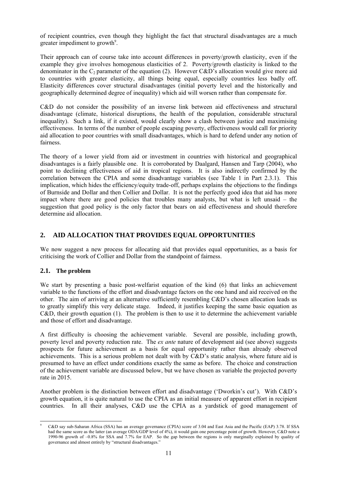of recipient countries, even though they highlight the fact that structural disadvantages are a much greater impediment to growth<sup>9</sup>.

Their approach can of course take into account differences in poverty/growth elasticity, even if the example they give involves homogenous elasticities of 2. Poverty/growth elasticity is linked to the denominator in the  $C_2$  parameter of the equation (2). However C&D's allocation would give more aid to countries with greater elasticity, all things being equal, especially countries less badly off. Elasticity differences cover structural disadvantages (initial poverty level and the historically and geographically determined degree of inequality) which aid will worsen rather than compensate for.

C&D do not consider the possibility of an inverse link between aid effectiveness and structural disadvantage (climate, historical disruptions, the health of the population, considerable structural inequality). Such a link, if it existed, would clearly show a clash between justice and maximising effectiveness. In terms of the number of people escaping poverty, effectiveness would call for priority aid allocation to poor countries with small disadvantages, which is hard to defend under any notion of fairness.

The theory of a lower yield from aid or investment in countries with historical and geographical disadvantages is a fairly plausible one. It is corroborated by Daalgard, Hansen and Tarp (2004), who point to declining effectiveness of aid in tropical regions. It is also indirectly confirmed by the correlation between the CPIA and some disadvantage variables (see Table 1 in Part 2.3.1). This implication, which hides the efficiency/equity trade-off, perhaps explains the objections to the findings of Burnside and Dollar and then Collier and Dollar. It is not the perfectly good idea that aid has more impact where there are good policies that troubles many analysts, but what is left unsaid – the suggestion that good policy is the only factor that bears on aid effectiveness and should therefore determine aid allocation.

#### **2. AID ALLOCATION THAT PROVIDES EQUAL OPPORTUNITIES**

We now suggest a new process for allocating aid that provides equal opportunities, as a basis for criticising the work of Collier and Dollar from the standpoint of fairness.

#### **2.1. The problem**

We start by presenting a basic post-welfarist equation of the kind (6) that links an achievement variable to the functions of the effort and disadvantage factors on the one hand and aid received on the other. The aim of arriving at an alternative sufficiently resembling C&D's chosen allocation leads us to greatly simplify this very delicate stage. Indeed, it justifies keeping the same basic equation as C&D, their growth equation (1). The problem is then to use it to determine the achievement variable and those of effort and disadvantage.

A first difficulty is choosing the achievement variable. Several are possible, including growth, poverty level and poverty reduction rate. The *ex ante* nature of development aid (see above) suggests prospects for future achievement as a basis for equal opportunity rather than already observed achievements. This is a serious problem not dealt with by C&D's static analysis, where future aid is presumed to have an effect under conditions exactly the same as before. The choice and construction of the achievement variable are discussed below, but we have chosen as variable the projected poverty rate in 2015.

Another problem is the distinction between effort and disadvantage ('Dworkin's cut'). With C&D's growth equation, it is quite natural to use the CPIA as an initial measure of apparent effort in recipient countries. In all their analyses, C&D use the CPIA as a yardstick of good management of

l 9 C&D say sub-Saharan Africa (SSA) has an average governance (CPIA) score of 3.04 and East Asia and the Pacific (EAP) 3.78. If SSA had the same score as the latter (an average ODA/GDP level of 4%), it would gain one percentage point of growth. However, C&D note a 1990-96 growth of –0.8% for SSA and 7.7% for EAP. So the gap between the regions is only marginally explained by quality of governance and almost entirely by "structural disadvantages."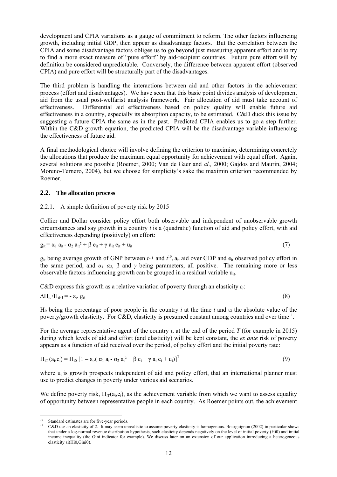development and CPIA variations as a gauge of commitment to reform. The other factors influencing growth, including initial GDP, then appear as disadvantage factors. But the correlation between the CPIA and some disadvantage factors obliges us to go beyond just measuring apparent effort and to try to find a more exact measure of "pure effort" by aid-recipient countries. Future pure effort will by definition be considered unpredictable. Conversely, the difference between apparent effort (observed CPIA) and pure effort will be structurally part of the disadvantages.

The third problem is handling the interactions between aid and other factors in the achievement process (effort and disadvantages). We have seen that this basic point divides analysis of development aid from the usual post-welfarist analysis framework. Fair allocation of aid must take account of effectiveness. Differential aid effectiveness based on policy quality will enable future aid effectiveness in a country, especially its absorption capacity, to be estimated. C&D duck this issue by suggesting a future CPIA the same as in the past. Predicted CPIA enables us to go a step further. Within the C&D growth equation, the predicted CPIA will be the disadvantage variable influencing the effectiveness of future aid.

A final methodological choice will involve defining the criterion to maximise, determining concretely the allocations that produce the maximum equal opportunity for achievement with equal effort. Again, several solutions are possible (Roemer, 2000; Van de Gaer and *al.,* 2000; Gajdos and Maurin, 2004; Moreno-Ternero, 2004), but we choose for simplicity's sake the maximin criterion recommended by Roemer.

#### **2.2. The allocation process**

#### 2.2.1. A simple definition of poverty risk by 2015

Collier and Dollar consider policy effort both observable and independent of unobservable growth circumstances and say growth in a country *i* is a (quadratic) function of aid and policy effort, with aid effectiveness depending (positively) on effort:

$$
g_{it} = \alpha_1 a_{it} - \alpha_2 a_{it}^2 + \beta e_{it} + \gamma a_{it} e_{it} + u_{it}
$$
\n
$$
\tag{7}
$$

 $g_{it}$  being average growth of GNP between  $t$ -1 and  $t^{10}$ ,  $a_{it}$  aid over GDP and  $e_{it}$  observed policy effort in the same period, and  $\alpha_1$ ,  $\alpha_2$ ,  $\beta$  and  $\gamma$  being parameters, all positive. The remaining more or less observable factors influencing growth can be grouped in a residual variable  $u_{it}$ .

C&D express this growth as a relative variation of poverty through an elasticity *εi*:

$$
\Delta H_{it}/H_{it-1} = -\varepsilon_i. g_{it} \tag{8}
$$

H<sub>it</sub> being the percentage of poor people in the country *i* at the time *t* and  $\varepsilon$ <sub>i</sub> the absolute value of the poverty/growth elasticity. For C&D, elasticity is presumed constant among countries and over time<sup>11</sup>.

For the average representative agent of the country *i*, at the end of the period *T* (for example in 2015) during which levels of aid and effort (and elasticity) will be kept constant, the *ex ante* risk of poverty appears as a function of aid received over the period, of policy effort and the initial poverty rate:

$$
H_{iT}(a_i, e_i) = H_{i0} \left[ 1 - \varepsilon_i \left( \alpha_1 a_i - \alpha_2 a_i^2 + \beta e_i + \gamma a_i e_i + u_i \right) \right]^T
$$
\n(9)

where  $u_i$  is growth prospects independent of aid and policy effort, that an international planner must use to predict changes in poverty under various aid scenarios.

We define poverty risk,  $H_{iT}(a_i,e_i)$ , as the achievement variable from which we want to assess equality of opportunity between representative people in each country. As Roemer points out, the achievement

l <sup>10</sup> Standard estimates are for five-year periods.

<sup>11</sup> C&D use an elasticity of 2. It may seem unrealistic to assume poverty elasticity is homogenous. Bourguignon (2002) in particular shows that under a log-normal revenue distribution hypothesis, such elasticity depends negatively on the level of initial poverty (Hi0) and initial income inequality (the Gini indicator for example). We discuss later on an extension of our application introducing a heterogeneous elasticity εi(Hi0,Gini0).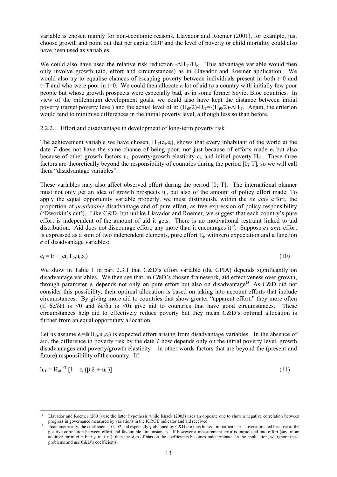variable is chosen mainly for non-economic reasons. Llavador and Roemer (2001), for example, just choose growth and point out that per capita GDP and the level of poverty or child mortality could also have been used as variables.

We could also have used the relative risk reduction  $-\Delta H_{iT}/H_{10}$ . This advantage variable would then only involve growth (aid, effort and circumstances) as in Llavador and Roemer application. We would also try to equalise chances of escaping poverty between individuals present in both t=0 and  $t=T$  and who were poor in  $t=0$ . We could then allocate a lot of aid to a country with initially few poor people but whose growth prospects were especially bad, as in some former Soviet Bloc countries. In view of the millennium development goals, we could also have kept the distance between initial poverty (target poverty level) and the actual level of it:  $(H_{i0}/2)$ - $H_{iT}$ =- $(H_{i0}/2)$ - $\Delta H_{iT}$ . Again, the criterion would tend to minimise differences in the initial poverty level, although less so than before.

2.2.2. Effort and disadvantage in development of long-term poverty risk

The achievement variable we have chosen,  $H_{iT}(a_i,e_i)$ , shows that every inhabitant of the world at the date *T* does not have the same chance of being poor, not just because of efforts made e<sub>i</sub> but also because of other growth factors  $u_i$ , poverty/growth elasticity  $\varepsilon_i$ , and initial poverty  $H_{i0}$ . These three factors are theoretically beyond the responsibility of countries during the period [0; T], so we will call them "disadvantage variables".

These variables may also affect observed effort during the period [0; T]. The international planner must not only get an idea of growth prospects ui, but also of the amount of policy effort made. To apply the equal opportunity variable properly, we must distinguish, within the *ex ante* effort, the proportion of *predictable* disadvantage and of pure effort, as free expression of policy responsibility ('Dworkin's cut'). Like C&D, but unlike Llavador and Roemer, we suggest that each country's pure effort is independent of the amount of aid it gets. There is no motivational restraint linked to aid distribution. Aid does not discourage effort, any more than it encourages it<sup>12</sup>. Suppose *ex ante* effort is expressed as a sum of two independent elements, pure effort Ei, withzero expectation and a function *e* of disadvantage variables:

$$
e_i = E_i + e(H_{i0}, u_i, \varepsilon_i)
$$
\n<sup>(10)</sup>

We show in Table 1 in part 2.3.1 that C&D's effort variable (the CPIA) depends significantly on disadvantage variables. We then see that, in C&D's chosen framework, aid effectiveness over growth, through parameter *γ*, depends not only on pure effort but also on disadvantage13. As C&D did not consider this possibility, their optimal allocation is based on taking into account efforts that include circumstances. By giving more aid to countries that show greater "apparent effort," they more often (if  $\delta e/\delta H$  is <0 and  $\delta e/\delta u$  is <0) give aid to countries that have good circumstances. These circumstances help aid to effectively reduce poverty but they mean C&D's optimal allocation is further from an equal opportunity allocation.

Let us assume  $\hat{e}_i = \hat{e}(H_{i0}, u_i, \hat{e}_i)$  is expected effort arising from disadvantage variables. In the absence of aid, the difference in poverty risk by the date *T* now depends only on the initial poverty level, growth disadvantages and poverty/growth elasticity – in other words factors that are beyond the (present and future) responsibility of the country. If:

$$
h_{iT} = H_{i0}^{1/T} \left[ 1 - \varepsilon_{i} \left( \beta \hat{e}_{i} + u_{i} \right) \right]
$$
 (11)

l

<sup>12</sup> Llavador and Roemer (2001) use the latter hypothesis while Knack (2003) uses an opposite one to show a negative correlation between progress in governance measured by variations in the ICRGE indicator and aid received.<br><sup>13</sup> Econometrically, the coefficients  $\alpha$ 1,  $\alpha$ 2 and especially  $\gamma$  obtained by C&D are thus biased, in particular  $\gamma$  is overest

positive correlation between effort and favourable circumstances. If however a measurement error is introduced into effort (say, in an additive form: ei = Ei +  $\rho$  ui +  $\eta$ i), then the sign of bias on the coefficients becomes indeterminate. In the application, we ignore these problems and use C&D's coefficients.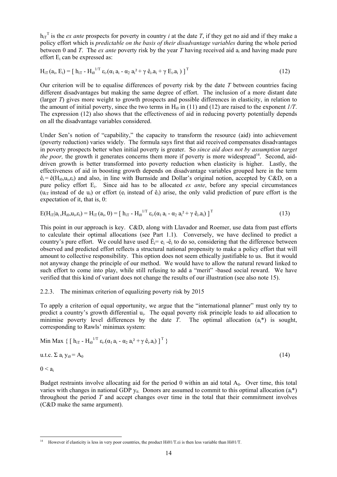$h_{iT}$ <sup>T</sup> is the *ex ante* prospects for poverty in country *i* at the date *T*, if they get no aid and if they make a policy effort which is *predictable on the basis of their disadvantage variables* during the whole period between 0 and *T*. The *ex ante* poverty risk by the year *T* having received aid ai and having made pure effort  $E_i$  can be expressed as:

$$
H_{iT}(a_i, E_i) = [h_{iT} - H_{i0}^{1/T} \varepsilon_i. (a_1 a_i - a_2 a_i^2 + \gamma \hat{e}_i. a_i + \gamma E_i. a_i)]^T
$$
\n(12)

Our criterion will be to equalise differences of poverty risk by the date *T* between countries facing different disadvantages but making the same degree of effort. The inclusion of a more distant date (larger *T*) gives more weight to growth prospects and possible differences in elasticity, in relation to the amount of initial poverty, since the two terms in  $H_{i0}$  in (11) and (12) are raised to the exponent  $I/T$ . The expression (12) also shows that the effectiveness of aid in reducing poverty potentially depends on all the disadvantage variables considered.

Under Sen's notion of "capability," the capacity to transform the resource (aid) into achievement (poverty reduction) varies widely. The formula says first that aid received compensates disadvantages in poverty prospects better when initial poverty is greater. So *since aid does not by assumption target the poor*, the growth it generates concerns them more if poverty is more widespread<sup>14</sup>. Second, aiddriven growth is better transformed into poverty reduction when elasticity is higher. Lastly, the effectiveness of aid in boosting growth depends on disadvantage variables grouped here in the term  $\hat{\mathbf{e}}_i = \hat{\mathbf{e}}(\mathbf{H}_{i0}, \mathbf{u}_i, \mathbf{\varepsilon}_i)$  and also, in line with Burnside and Dollar's original notion, accepted by C&D, on a pure policy effort Ei. Since aid has to be allocated *ex ante*, before any special circumstances  $(u_{iT})$  instead of de  $u_i$ ) or effort  $(e_i$  instead of  $\hat{e}_i$ ) arise, the only valid prediction of pure effort is the expectation of it, that is, 0:

 $E(H_{iT}|a_i, H_{i0}, u_i, \varepsilon_i) = H_{iT}(a_i, 0) = [h_{iT} - H_{i0}^{1/T} \varepsilon_i.(\alpha_1 a_i - \alpha_2 a_i^2 + \gamma \varepsilon_i.a_i)]^T$  (13)

This point in our approach is key. C&D, along with Llavador and Roemer, use data from past efforts to calculate their optimal allocations (see Part 1.1). Conversely, we have declined to predict a country's pure effort. We could have used  $\hat{E}_i = e_i - \hat{e}_i$  to do so, considering that the difference between observed and predicted effort reflects a structural national propensity to make a policy effort that will amount to collective responsibility. This option does not seem ethically justifiable to us. But it would not anyway change the principle of our method. We would have to allow the natural reward linked to such effort to come into play, while still refusing to add a "merit" -based social reward. We have verified that this kind of variant does not change the results of our illustration (see also note 15).

#### 2.2.3. The minimax criterion of equalizing poverty risk by 2015

To apply a criterion of equal opportunity, we argue that the "international planner" must only try to predict a country's growth differential u<sub>i</sub>. The equal poverty risk principle leads to aid allocation to minimise poverty level differences by the date *T*. The optimal allocation  $(a_i^*)$  is sought, corresponding to Rawls' minimax system:

Min Max { [ h<sub>iT</sub> - H<sub>i0</sub><sup>1/T</sup> 
$$
\varepsilon_i
$$
 ( $\alpha_1 a_i - \alpha_2 a_i^2 + \gamma \hat{e}_i a_i$ ) ]<sup>T</sup> }  
 u.t.c.  $\Sigma a_i y_{i0} = A_0$  (14)  
0  $\leq a_i$ 

Budget restraints involve allocating aid for the period 0 within an aid total  $A_0$ . Over time, this total varies with changes in national GDP  $y_{it}$ . Donors are assumed to commit to this optimal allocation  $(a_i^*)$ throughout the period *T* and accept changes over time in the total that their commitment involves (C&D make the same argument).

 $\overline{a}$ 14 However if elasticity is less in very poor countries, the product Hi01/T.εi is then less variable than Hi01/T.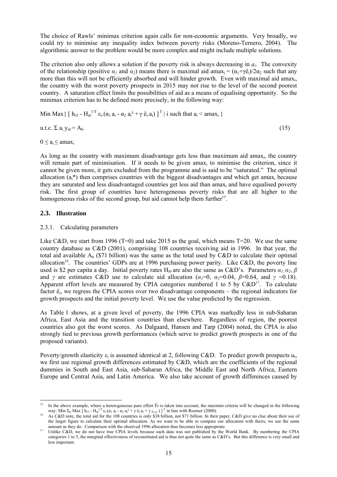The choice of Rawls' minimax criterion again calls for non-economic arguments. Very broadly, we could try to minimise any inequality index between poverty risks (Moreno-Ternero, 2004). The algorithmic answer to the problem would be more complex and might include multiple solutions.

The criterion also only allows a solution if the poverty risk is always decreasing in *ai*. The convexity of the relationship (positive  $\alpha_1$  and  $\alpha_2$ ) means there is maximal aid amax<sub>i</sub> =  $(\alpha_1 + \gamma \hat{e}_i)/2\alpha_2$  such that any more than this will not be efficiently absorbed and will hinder growth. Even with maximal aid amaxi, the country with the worst poverty prospects in 2015 may not rise to the level of the second poorest country. A saturation effect limits the possibilities of aid as a means of equalising opportunity. So the minimax criterion has to be defined more precisely, in the following way:

Min Max {  $\left[ h_{iT} - H_{i0}^{1/T} \varepsilon_{i.} (\alpha_1 a_i - \alpha_2 a_i^2 + \gamma \varepsilon_{i.} a_i) \right]$   $\left[ l \right]$  i such that  $a_i < \text{amax}_i$  }

$$
u.t.c. \Sigma a_i y_{i0} = A_0 \tag{15}
$$

 $0 \le a_i \le amax_i$ 

As long as the country with maximum disadvantage gets less than maximum aid amaxi, the country will remain part of minimisation. If it needs to be given amax<sub>i</sub> to minimise the criterion, since it cannot be given more, it gets excluded from the programme and is said to be "saturated." The optimal allocation  $(a_i^*)$  then comprises countries with the biggest disadvantages and which get amax<sub>i</sub> because they are saturated and less disadvantaged countries get less aid than amaxi and have equalised poverty risk. The first group of countries have heterogeneous poverty risks that are all higher to the homogeneous risks of the second group, but aid cannot help them further<sup>15</sup>.

#### **2.3. Illustration**

#### 2.3.1. Calculating parameters

Like C&D, we start from 1996 (T=0) and take 2015 as the goal, which means  $T=20$ . We use the same country database as C&D (2001), comprising 108 countries receiving aid in 1996. In that year, the total aid available  $A_0$  (\$71 billion) was the same as the total used by C&D to calculate their optimal allocation<sup>16</sup>. The countries' GDPs are at 1996 purchasing power parity. Like C&D, the poverty line used is \$2 per capita a day. Initial poverty rates Hi0 are also the same as C&D's. Parameters *α1*, *α2*, *β* and *γ* are estimates C&D use to calculate aid allocation ( $\alpha_1=0$ ,  $\alpha_2=0.04$ ,  $\beta=0.64$ , and  $\gamma=0.18$ ). Apparent effort levels are measured by CPIA categories numbered 1 to 5 by  $C&D^{17}$ . To calculate factor êi, we regress the CPIA scores over two disadvantage components – the regional indicators for growth prospects and the initial poverty level. We use the value predicted by the regression.

As Table 1 shows, at a given level of poverty, the 1996 CPIA was markedly less in sub-Saharan Africa, East Asia and the transition countries than elsewhere. Regardless of region, the poorest countries also got the worst scores. As Dalgaard, Hansen and Tarp (2004) noted, the CPIA is also strongly tied to previous growth performances (which serve to predict growth prospects in one of the proposed variants).

Poverty/growth elasticity  $\varepsilon_i$  is assumed identical at 2, following C&D. To predict growth prospects  $u_i$ , we first use regional growth differences estimated by C&D, which are the coefficients of the regional dummies in South and East Asia, sub-Saharan Africa, the Middle East and North Africa, Eastern Europe and Central Asia, and Latin America. We also take account of growth differences caused by

 $15$ 15 In the above example, where a heterogeneous pure effort Êi is taken into account, the maximin criteria will be changed in the following way: Min  $\Sigma_{\rm E}$  Max  $\left[ \; {\bf h}_{\rm iT} \; {\bf -} \; {\bf H}_{\rm i0}^{\rm 1/T} \; {\bf \epsilon}_{\rm i} . (\alpha_1 \; {\bf a}_{\rm i} \; {\bf -} \; \alpha_2 \; {\bf a}_{\rm i}^{\rm 2} + \gamma \; \hat{\bf e}_{\rm i} . {\bf a}_{\rm i} + \gamma \; \hat{\rm e}_{\rm i \cdot \rm ai} \; ) \; \right]$ <sup>T</sup>

As C&D note, the total aid for the 108 countries is only \$38 billion, not \$71 billion. In their paper, C&D give no clue about their use of the larger figure to calculate their optimal allocation. As we want to be able to compare our allocation with theirs, we use the same

amount as they do. Comparison with the observed 1996 allocation thus becomes less appropriate.<br>
19 Unlike C&D, we do not have true CPIA levels because such data was not published by the World Bank. By numbering the CPIA categories 1 to 5, the marginal effectiveness of reconstituted aid is thus not quite the same as C&D's. But this difference is very small and less important.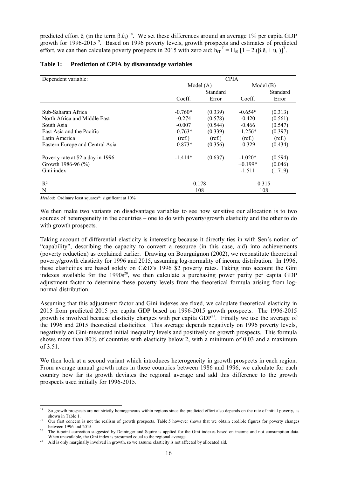predicted effort  $\hat{e}_i$  (in the term  $\beta \cdot \hat{e}_i$ )<sup>18</sup>. We set these differences around an average 1% per capita GDP growth for 1996-201519. Based on 1996 poverty levels, growth prospects and estimates of predicted effort, we can then calculate poverty prospects in 2015 with zero aid:  $h_{iT}$ <sup>T</sup> = H<sub>i0</sub> [1 – 2.( $\beta \cdot \hat{e}_i + \hat{u}_i$ )]<sup>T</sup>.

| Dependent variable:               | <b>CPIA</b> |          |           |          |  |  |  |  |
|-----------------------------------|-------------|----------|-----------|----------|--|--|--|--|
|                                   | Model(A)    | Model(B) |           |          |  |  |  |  |
|                                   |             | Standard |           | Standard |  |  |  |  |
|                                   | Coeff.      | Error    | Coeff.    | Error    |  |  |  |  |
|                                   |             |          |           |          |  |  |  |  |
| Sub-Saharan Africa                | $-0.760*$   | (0.339)  | $-0.654*$ | (0.313)  |  |  |  |  |
| North Africa and Middle East      | $-0.274$    | (0.578)  | $-0.420$  | (0.561)  |  |  |  |  |
| South Asia                        | $-0.007$    | (0.544)  | $-0.466$  | (0.547)  |  |  |  |  |
| East Asia and the Pacific         | $-0.763*$   | (0.339)  | $-1.256*$ | (0.397)  |  |  |  |  |
| Latin America                     | (ref.)      | (ref.)   | (ref.)    | (ref.)   |  |  |  |  |
| Eastern Europe and Central Asia   | $-0.873*$   | (0.356)  | $-0.329$  | (0.434)  |  |  |  |  |
| Poverty rate at \$2 a day in 1996 | $-1.414*$   | (0.637)  | $-1.020*$ | (0.594)  |  |  |  |  |
| Growth 1986-96 $(\% )$            |             |          | $+0.199*$ | (0.046)  |  |  |  |  |
| Gini index                        |             |          | $-1.511$  | (1.719)  |  |  |  |  |
| $R^2$                             |             | 0.178    |           | 0.315    |  |  |  |  |
| N                                 |             | 108      | 108       |          |  |  |  |  |

#### **Table 1: Prediction of CPIA by disavantadge variables**

*Method*: Ordinary least squares\*: significant at 10%

We then make two variants on disadvantage variables to see how sensitive our allocation is to two sources of heterogeneity in the countries – one to do with poverty/growth elasticity and the other to do with growth prospects.

Taking account of differential elasticity is interesting because it directly ties in with Sen's notion of "capability", describing the capacity to convert a resource (in this case, aid) into achievements (poverty reduction) as explained earlier. Drawing on Bourguignon (2002), we reconstitute theoretical poverty/growth elasticity for 1996 and 2015, assuming log-normality of income distribution. In 1996, these elasticities are based solely on C&D's 1996 \$2 poverty rates. Taking into account the Gini indexes available for the 1990s<sup>20</sup>, we then calculate a purchasing power parity per capita GDP adjustment factor to determine these poverty levels from the theoretical formula arising from lognormal distribution.

Assuming that this adjustment factor and Gini indexes are fixed, we calculate theoretical elasticity in 2015 from predicted 2015 per capita GDP based on 1996-2015 growth prospects. The 1996-2015 growth is involved because elasticity changes with per capita  $GDP<sup>21</sup>$ . Finally we use the average of the 1996 and 2015 theoretical elasticities. This average depends negatively on 1996 poverty levels, negatively on Gini-measured initial inequality levels and positively on growth prospects. This formula shows more than 80% of countries with elasticity below 2, with a minimum of 0.03 and a maximum of 3.51.

We then look at a second variant which introduces heterogeneity in growth prospects in each region. From average annual growth rates in these countries between 1986 and 1996, we calculate for each country how far its growth deviates the regional average and add this difference to the growth prospects used initially for 1996-2015.

 $18$ 18 So growth prospects are not strictly homogeneous within regions since the predicted effort also depends on the rate of initial poverty, as shown in Table 1.<br><sup>19</sup> Our first concern is not the realism of growth prospects. Table 5 however shows that we obtain credible figures for poverty changes

between 1996 and 2015.<br><sup>20</sup> The 6-point correction suggested by Deininger and Squire is applied for the Gini indexes based on income and not consumption data.<br>When unavailable, the Gini index is presumed equal to the regio

<sup>&</sup>lt;sup>21</sup> Aid is only marginally involved in growth, so we assume elasticity is not affected by allocated aid.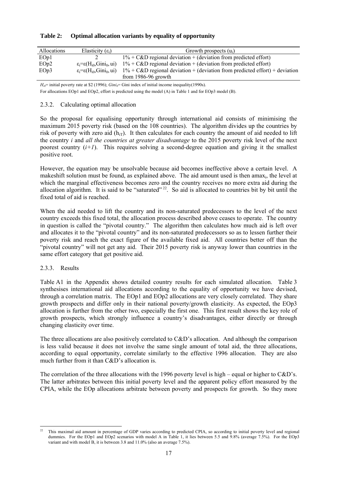| Allocations      | Elasticity $(\epsilon_i)$                       | Growth prospects $(u_i)$                                                       |
|------------------|-------------------------------------------------|--------------------------------------------------------------------------------|
| EOp1             |                                                 | $1\%$ + C&D regional deviation + (deviation from predicted effort)             |
| EOp2             | $\varepsilon = \varepsilon(H_{i0}, Gini_0, ui)$ | $1\%$ + C&D regional deviation + (deviation from predicted effort)             |
| EOp <sub>3</sub> | $\varepsilon = \varepsilon(H_{i0}, Gini_0, ui)$ | $1\%$ + C&D regional deviation + (deviation from predicted effort) + deviation |
|                  |                                                 | from 1986-96 growth                                                            |

| Table 2: |  |  | Optimal allocation variants by equality of opportunity |
|----------|--|--|--------------------------------------------------------|
|          |  |  |                                                        |

 $H_{ii}=$  initial poverty rate at \$2 (1996); *Gini<sub>0</sub>*= Gini index of initial income inequality(1990s).

For allocations EOp1 and EOp2, effort is predicted using the model (A) in Table 1 and for EOp3 model (B).

#### 2.3.2. Calculating optimal allocation

So the proposal for equalising opportunity through international aid consists of minimising the maximum 2015 poverty risk (based on the 108 countries). The algorithm divides up the countries by risk of poverty with zero aid  $(h_{iT})$ . It then calculates for each country the amount of aid needed to lift the country *i* and *all the countries at greater disadvantage* to the 2015 poverty risk level of the next poorest country  $(i+1)$ . This requires solving a second-degree equation and giving it the smallest positive root.

However, the equation may be unsolvable because aid becomes ineffective above a certain level. A makeshift solution must be found, as explained above. The aid amount used is then amax<sub>i</sub>, the level at which the marginal effectiveness becomes zero and the country receives no more extra aid during the allocation algorithm. It is said to be "saturated"  $^{22}$ . So aid is allocated to countries bit by bit until the fixed total of aid is reached.

When the aid needed to lift the country and its non-saturated predecessors to the level of the next country exceeds this fixed total, the allocation process described above ceases to operate. The country in question is called the "pivotal country." The algorithm then calculates how much aid is left over and allocates it to the "pivotal country" and its non-saturated predecessors so as to lessen further their poverty risk and reach the exact figure of the available fixed aid. All countries better off than the "pivotal country" will not get any aid. Their 2015 poverty risk is anyway lower than countries in the same effort category that get positive aid.

#### 2.3.3. Results

Table A1 in the Appendix shows detailed country results for each simulated allocation. Table 3 synthesises international aid allocations according to the equality of opportunity we have devised, through a correlation matrix. The EOp1 and EOp2 allocations are very closely correlated. They share growth prospects and differ only in their national poverty/growth elasticity. As expected, the EOp3 allocation is further from the other two, especially the first one. This first result shows the key role of growth prospects, which strongly influence a country's disadvantages, either directly or through changing elasticity over time.

The three allocations are also positively correlated to  $C&D$ 's allocation. And although the comparison is less valid because it does not involve the same single amount of total aid, the three allocations, according to equal opportunity, correlate similarly to the effective 1996 allocation. They are also much further from it than C&D's allocation is.

The correlation of the three allocations with the 1996 poverty level is high – equal or higher to C&D's. The latter arbitrates between this initial poverty level and the apparent policy effort measured by the CPIA, while the EOp allocations arbitrate between poverty and prospects for growth. So they more

l 22 This maximal aid amount in percentage of GDP varies according to predicted CPIA, so according to initial poverty level and regional dummies. For the EOp1 and EOp2 scenarios with model A in Table 1, it lies between 5.5 and 9.8% (average 7.5%). For the EOp3 variant and with model B, it is between 3.8 and  $11.0\%$  (also an average 7.5%).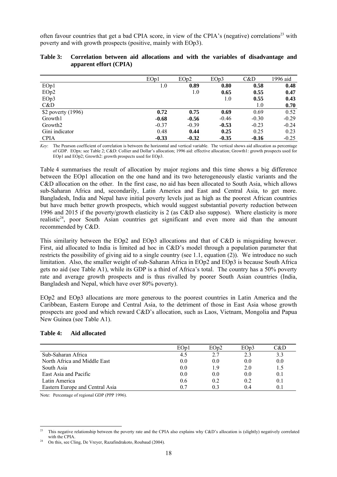often favour countries that get a bad CPIA score, in view of the CPIA's (negative) correlations<sup>23</sup> with poverty and with growth prospects (positive, mainly with EOp3).

|                     | EOp1    | EOp2    | EOp3    | C&D     | 1996 aid |
|---------------------|---------|---------|---------|---------|----------|
| EOp1                | 1.0     | 0.89    | 0.80    | 0.58    | 0.48     |
| EOp2                |         | 1.0     | 0.65    | 0.55    | 0.47     |
| EOp3                |         |         | 1.0     | 0.55    | 0.43     |
| C&D                 |         |         |         | 1.0     | 0.70     |
| \$2 poverty (1996)  | 0.72    | 0.75    | 0.69    | 0.69    | 0.52     |
| Growth1             | $-0.68$ | $-0.56$ | $-0.46$ | $-0.30$ | $-0.29$  |
| Growth <sub>2</sub> | $-0.37$ | $-0.39$ | $-0.53$ | $-0.23$ | $-0.24$  |
| Gini indicator      | 0.48    | 0.44    | 0.25    | 0.25    | 0.23     |
| <b>CPIA</b>         | $-0.33$ | $-0.32$ | $-0.35$ | $-0.16$ | $-0.25$  |

|                        |  |  |  |  | Table 3: Correlation between aid allocations and with the variables of disadvantage and |  |
|------------------------|--|--|--|--|-----------------------------------------------------------------------------------------|--|
| apparent effort (CPIA) |  |  |  |  |                                                                                         |  |

*Key*: The Pearson coefficient of correlation is between the horizontal and vertical variable. The vertical shows aid allocation as percentage of GDP. EOpx: see Table 2; C&D: Collier and Dollar's allocation; 1996 aid: effective allocation; Growth1: growth prospects used for EOp1 and EOp2; Growth2: growth prospects used for EOp3.

Table 4 summarises the result of allocation by major regions and this time shows a big difference between the EOp1 allocation on the one hand and its two heterogeneously elastic variants and the C&D allocation on the other. In the first case, no aid has been allocated to South Asia, which allows sub-Saharan Africa and, secondarily, Latin America and East and Central Asia, to get more. Bangladesh, India and Nepal have initial poverty levels just as high as the poorest African countries but have much better growth prospects, which would suggest substantial poverty reduction between 1996 and 2015 if the poverty/growth elasticity is 2 (as C&D also suppose). Where elasticity is more realistic<sup>24</sup>, poor South Asian countries get significant and even more aid than the amount recommended by C&D.

This similarity between the EOp2 and EOp3 allocations and that of C&D is misguiding however. First, aid allocated to India is limited ad hoc in C&D's model through a population parameter that restricts the possibility of giving aid to a single country (see 1.1, equation (2)). We introduce no such limitation. Also, the smaller weight of sub-Saharan Africa in EOp2 and EOp3 is because South Africa gets no aid (see Table A1), while its GDP is a third of Africa's total. The country has a 50% poverty rate and average growth prospects and is thus rivalled by poorer South Asian countries (India, Bangladesh and Nepal, which have over 80% poverty).

EOp2 and EOp3 allocations are more generous to the poorest countries in Latin America and the Caribbean, Eastern Europe and Central Asia, to the detriment of those in East Asia whose growth prospects are good and which reward C&D's allocation, such as Laos, Vietnam, Mongolia and Papua New Guinea (see Table A1).

#### **Table 4: Aid allocated**

|                                 | EOp1 | EOp2    | EOp3 | C&D |
|---------------------------------|------|---------|------|-----|
| Sub-Saharan Africa              | 4.5  | 2.7     | 2.3  | 3.3 |
| North Africa and Middle East    | 0.0  | 0.0     | 0.0  | 0.0 |
| South Asia                      | 0.0  |         | 2.0  | 1.5 |
| East Asia and Pacific           | 0.0  | $0.0\,$ | 0.0  | 0.1 |
| Latin America                   | 0.6  | 0.2     | 0.2  | 0.1 |
| Eastern Europe and Central Asia |      |         | 04   |     |

Note: Percentage of regional GDP (PPP 1996).

l

This negative relationship between the poverty rate and the CPIA also explains why C&D's allocation is (slightly) negatively correlated with the CPIA.<br>On this, see Cling, De Vreyer, Razafindrakoto, Roubaud (2004).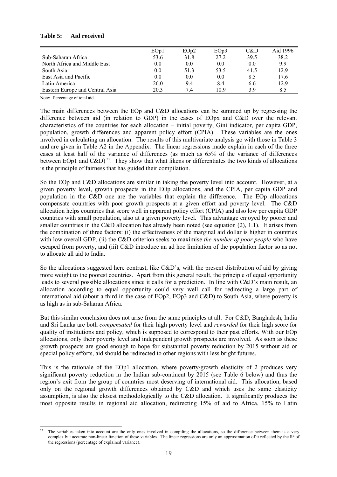|                                 | EOp1 | EOp2 | EOp3 | C&D  | Aid 1996 |
|---------------------------------|------|------|------|------|----------|
| Sub-Saharan Africa              | 53.6 | 31.8 | 27.2 | 39.5 | 38.2     |
| North Africa and Middle East    | 0.0  | 0.0  | 0.0  | 0.0  | 9.9      |
| South Asia                      | 0.0  | 513  | 53.5 | 41.5 | 12.9     |
| East Asia and Pacific           | 0.0  | 0.0  | 0.0  | 8.5  | 17.6     |
| Latin America                   | 26.0 | 9.4  | 8.4  | 6.6  | 12.9     |
| Eastern Europe and Central Asia | 20.3 | 7.4  | 109  | 39   | 8.5      |

#### **Table 5: Aid received**

Note: Percentage of total aid.

The main differences between the EOp and C&D allocations can be summed up by regressing the difference between aid (in relation to GDP) in the cases of EOpx and C&D over the relevant characteristics of the countries for each allocation – initial poverty, Gini indicator, per capita GDP, population, growth differences and apparent policy effort (CPIA). These variables are the ones involved in calculating an allocation. The results of this multivariate analysis go with those in Table 3 and are given in Table A2 in the Appendix. The linear regressions made explain in each of the three cases at least half of the variance of differences (as much as 65% of the variance of differences between EOp1 and C&D)<sup>25</sup>. They show that what likens or differentiates the two kinds of allocations is the principle of fairness that has guided their compilation.

So the EOp and C&D allocations are similar in taking the poverty level into account. However, at a given poverty level, growth prospects in the EOp allocations, and the CPIA, per capita GDP and population in the C&D one are the variables that explain the difference. The EOp allocations compensate countries with poor growth prospects at a given effort and poverty level. The C&D allocation helps countries that score well in apparent policy effort (CPIA) and also low per capita GDP countries with small population, also at a given poverty level. This advantage enjoyed by poorer and smaller countries in the C&D allocation has already been noted (see equation (2), 1.1). It arises from the combination of three factors: (i) the effectiveness of the marginal aid dollar is higher in countries with low overall GDP, (ii) the C&D criterion seeks to maximise *the number of poor people* who have escaped from poverty, and (iii) C&D introduce an ad hoc limitation of the population factor so as not to allocate all aid to India.

So the allocations suggested here contrast, like C&D's, with the present distribution of aid by giving more weight to the poorest countries. Apart from this general result, the principle of equal opportunity leads to several possible allocations since it calls for a prediction. In line with C&D's main result, an allocation according to equal opportunity could very well call for redirecting a large part of international aid (about a third in the case of EOp2, EOp3 and C&D) to South Asia, where poverty is as high as in sub-Saharan Africa.

But this similar conclusion does not arise from the same principles at all. For C&D, Bangladesh, India and Sri Lanka are both *compensated* for their high poverty level and *rewarded* for their high score for quality of institutions and policy, which is supposed to correspond to their past efforts. With our EOp allocations, only their poverty level and independent growth prospects are involved. As soon as these growth prospects are good enough to hope for substantial poverty reduction by 2015 without aid or special policy efforts, aid should be redirected to other regions with less bright futures.

This is the rationale of the EOp1 allocation, where poverty/growth elasticity of 2 produces very significant poverty reduction in the Indian sub-continent by 2015 (see Table 6 below) and thus the region's exit from the group of countries most deserving of international aid. This allocation, based only on the regional growth differences obtained by  $C&D$  and which uses the same elasticity assumption, is also the closest methodologically to the C&D allocation. It significantly produces the most opposite results in regional aid allocation, redirecting 15% of aid to Africa, 15% to Latin

l The variables taken into account are the only ones involved in compiling the allocations, so the difference between them is a very complex but accurate non-linear function of these variables. The linear regressions are only an approximation of it reflected by the  $R<sup>2</sup>$  of the regressions (percentage of explained variance).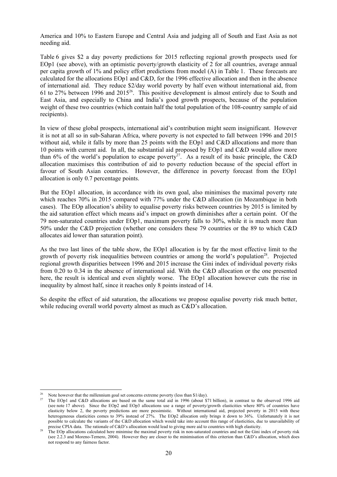America and 10% to Eastern Europe and Central Asia and judging all of South and East Asia as not needing aid.

Table 6 gives \$2 a day poverty predictions for 2015 reflecting regional growth prospects used for EOp1 (see above), with an optimistic poverty/growth elasticity of 2 for all countries, average annual per capita growth of 1% and policy effort predictions from model (A) in Table 1. These forecasts are calculated for the allocations EOp1 and C&D, for the 1996 effective allocation and then in the absence of international aid. They reduce \$2/day world poverty by half even without international aid, from 61 to 27% between 1996 and 201526. This positive development is almost entirely due to South and East Asia, and especially to China and India's good growth prospects, because of the population weight of these two countries (which contain half the total population of the 108-country sample of aid recipients).

In view of these global prospects, international aid's contribution might seem insignificant. However it is not at all so in sub-Saharan Africa, where poverty is not expected to fall between 1996 and 2015 without aid, while it falls by more than 25 points with the EOp1 and C&D allocations and more than 10 points with current aid. In all, the substantial aid proposed by EOp1 and C&D would allow more than 6% of the world's population to escape poverty<sup>27</sup>. As a result of its basic principle, the C&D allocation maximises this contribution of aid to poverty reduction because of the special effort in favour of South Asian countries. However, the difference in poverty forecast from the EOp1 allocation is only 0.7 percentage points.

But the EOp1 allocation, in accordance with its own goal, also minimises the maximal poverty rate which reaches 70% in 2015 compared with 77% under the C&D allocation (in Mozambique in both cases). The EOp allocation's ability to equalise poverty risks between countries by 2015 is limited by the aid saturation effect which means aid's impact on growth diminishes after a certain point. Of the 79 non-saturated countries under EOp1, maximum poverty falls to 30%, while it is much more than 50% under the C&D projection (whether one considers these 79 countries or the 89 to which C&D allocates aid lower than saturation point).

As the two last lines of the table show, the EOp1 allocation is by far the most effective limit to the growth of poverty risk inequalities between countries or among the world's population<sup>28</sup>. Projected regional growth disparities between 1996 and 2015 increase the Gini index of individual poverty risks from 0.20 to 0.34 in the absence of international aid. With the C&D allocation or the one presented here, the result is identical and even slightly worse. The EOp1 allocation however cuts the rise in inequality by almost half, since it reaches only 8 points instead of 14.

So despite the effect of aid saturation, the allocations we propose equalise poverty risk much better, while reducing overall world poverty almost as much as  $C&D$ 's allocation.

 $\overline{a}$ 

Note however that the millennium goal set concerns extreme poverty (less than \$1/day).<br>The EOp1 and C&D allocations are based on the same total aid in 1996 (about \$71 billion), in contrast to the observed 1996 aid (see note 17 above). Since the EOp2 and EOp3 allocations use a range of poverty/growth elasticities where 80% of countries have elasticity below 2, the poverty predictions are more pessimistic. Without international aid, projected poverty in 2015 with these heterogeneous elasticities comes to 39% instead of 27%. The EOp2 allocation only brings it down to 36%. Unfortunately it is not possible to calculate the variants of the C&D allocation which would take into account this range of elasticities, due to unavailability of precise CPIA data. The rationale of C&D's allocation would lead to giving more aid

<sup>&</sup>lt;sup>28</sup> The EOp allocations calculated here minimise the maximal poverty risk in non-saturated countries and not the Gini index of poverty risk (see 2.2.3 and Moreno-Ternero, 2004). However they are closer to the minimisation of this criterion than C&D's allocation, which does not respond to any fairness factor.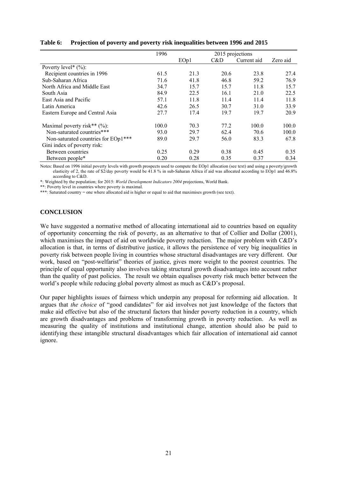|                                     | 1996  |      | 2015 projections |             |          |
|-------------------------------------|-------|------|------------------|-------------|----------|
|                                     |       | EOp1 | C&D              | Current aid | Zero aid |
| Poverty level* $(\%)$ :             |       |      |                  |             |          |
| Recipient countries in 1996         | 61.5  | 21.3 | 20.6             | 23.8        | 27.4     |
| Sub-Saharan Africa                  | 71.6  | 41.8 | 46.8             | 59.2        | 76.9     |
| North Africa and Middle East        | 34.7  | 15.7 | 15.7             | 11.8        | 15.7     |
| South Asia                          | 84.9  | 22.5 | 16.1             | 21.0        | 22.5     |
| East Asia and Pacific               | 57.1  | 11.8 | 11.4             | 11.4        | 11.8     |
| Latin America                       | 42.6  | 26.5 | 30.7             | 31.0        | 33.9     |
| Eastern Europe and Central Asia     | 27.7  | 17.4 | 19.7             | 19.7        | 20.9     |
| Maximal poverty risk** $(\%)$ :     | 100.0 | 70.3 | 77.2             | 100.0       | 100.0    |
| Non-saturated countries***          | 93.0  | 29.7 | 62.4             | 70.6        | 100.0    |
| Non-saturated countries for EOp1*** | 89.0  | 29.7 | 56.0             | 83.3        | 67.8     |
| Gini index of poverty risk:         |       |      |                  |             |          |
| Between countries                   | 0.25  | 0.29 | 0.38             | 0.45        | 0.35     |
| Between people*                     | 0.20  | 0.28 | 0.35             | 0.37        | 0.34     |

#### **Table 6: Projection of poverty and poverty risk inequalities between 1996 and 2015**

Notes: Based on 1996 initial poverty levels with growth prospects used to compute the EOp1 allocation (see text) and using a poverty/growth elasticity of 2, the rate of \$2/day poverty would be 41.8 % in sub-Saharan Africa if aid was allocated according to EOp1 and 46.8% according to C&D.

\*: Weighted by the population; for 2015: *World Development Indicators 2004* projections, World Bank.

\*\*: Poverty level in countries where poverty is maximal.

\*\*\*: Saturated country = one where allocated aid is higher or equal to aid that maximises growth (see text).

#### **CONCLUSION**

We have suggested a normative method of allocating international aid to countries based on equality of opportunity concerning the risk of poverty, as an alternative to that of Collier and Dollar (2001), which maximises the impact of aid on worldwide poverty reduction. The major problem with C&D's allocation is that, in terms of distributive justice, it allows the persistence of very big inequalities in poverty risk between people living in countries whose structural disadvantages are very different. Our work, based on "post-welfarist" theories of justice, gives more weight to the poorest countries. The principle of equal opportunity also involves taking structural growth disadvantages into account rather than the quality of past policies. The result we obtain equalises poverty risk much better between the world's people while reducing global poverty almost as much as C&D's proposal.

Our paper highlights issues of fairness which underpin any proposal for reforming aid allocation. It argues that *the choice* of "good candidates" for aid involves not just knowledge of the factors that make aid effective but also of the structural factors that hinder poverty reduction in a country, which are growth disadvantages and problems of transforming growth in poverty reduction. As well as measuring the quality of institutions and institutional change, attention should also be paid to identifying these intangible structural disadvantages which fair allocation of international aid cannot ignore.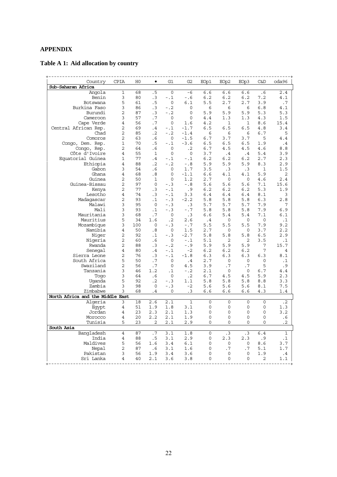### **APPENDIX**

## **Table A 1: Aid allocation by country**

| Country                          | <b>CPIA</b>    | H <sub>0</sub> | $\bullet$    | G1          | G2           | EOp1        | EOp <sub>2</sub> | EOp3      | <b>C&amp;D</b> | oda96        |
|----------------------------------|----------------|----------------|--------------|-------------|--------------|-------------|------------------|-----------|----------------|--------------|
| Sub-Saharan Africa               |                |                |              |             |              |             |                  |           |                |              |
| Angola                           | $\mathbf 1$    | 68             | .5           | $\mathbf 0$ | $-6$         | 6.6         | 6.6              | 6.6       | .6             | 2.4          |
| Benin                            | 3              | 80             | .3           | $- . 1$     | $-0.6$       | 6.2         | 6.2              | 6.2       | 7.2            | 4.1          |
| Botswana                         | 5              | 61             | .5           | 0           | 6.1          | 5.5         | 2.7              | 2.7       | 3.9            | .7           |
| Burkina Faso                     | 3              | 86             | $\cdot$ 3    | $-0.2$      | $\mathbf 0$  | 6           | 6                | 6         | 6.8            | 4.1          |
| Burundi                          | $\overline{2}$ | 87             | .3           | $-0.2$      | 0            | 5.9         | 5.9              | 5.9       | 5.3            | 5.3          |
| Cameroon                         | 3              | 57             | .7           | $\circ$     | 0            | 4.4         | 1.3              | 1.3       | 4.3            | 1.5          |
| Cape Verde                       | $\overline{4}$ | 56             | .7           | $\Omega$    | 1.6          | 4.2         | 1                | 1         | 8.6            | 15.4         |
| Central African Rep.             | 2              | 69             | .4           | $-1$        | $-1.7$       | 6.5         | 6.5              | $6.5$     | 4.8            | 3.4          |
| Chad                             | $\overline{2}$ | 85             | $\cdot$ 2    | $-0.2$      | $-1.4$       | 6           | 6                | 6         | 6.7            | 5            |
| Comoros                          | $\overline{2}$ | 63             | .6           | 0           | $-1.5$       | 6.7         | 3.7              | 3.7       | 5              | 4.4          |
| Congo, Dem. Rep.                 | $\mathbf 1$    | 70             | .5           | $-1.1$      | $-3.6$       | 6.5         | 6.5              | 6.5       | 1.9            | $\cdot$ 4    |
| Congo, Rep.                      | 2              | 64             | .6           | 0           | $\cdot$ 2    | 6.7         | 4.5              | 4.5       | 4.6            | 8.8          |
| Côte d'Ivoire                    | 4              | 55             | $\mathbf{1}$ | $\Omega$    | $\mathbf 0$  | 3.7         | $\cdot$ 4        | .4        | 5.4            | 3.9          |
| Equatorial Guinea                | 1              | 77             | .4           | $- .1$      | $-1.1$       | 6.2         | 6.2              | 6.2       | 2.7            | 2.3          |
| Ethiopia                         | 4              | 88             | $\cdot$ 2    | $-0.2$      | $-0.8$       | 5.9         | 5.9              | 5.9       | 8.3            | 2.9          |
| Gabon                            | 3              | 54             | .6           | 0           | 1.7          | 3.5         | .3               | $\cdot$ 3 | 1              | 1.5          |
| Ghana                            | $\overline{4}$ | 68             | .8           | $\mathbf 0$ | $-1.1$       | 6.6         | 4.1              | 4.1       | 5.9            | 2            |
| Guinea                           | $\overline{2}$ | 50             | $\mathbf{1}$ | $\mathbf 0$ | 1.2          | 2.7         | 0                | 0         | 4.6            | 2.4          |
| Guinea-Bissau                    | 2              | 97             | 0            | $- .3$      | $-0.8$       | 5.6         | 5.6              | 5.6       | 7.1            | 15.6         |
| Kenya                            | 2              | 77             | $\cdot$ 3    | $-1.1$      | .9           | 6.2         | 6.2              | 6.2       | 5.3            | 1.9          |
| Lesotho                          | $\overline{4}$ | 74             | $\cdot$ 3    | $-1$        | 3.3          | 6.4         | 6.4              | 6.4       | 8.1            | 3            |
| Madaqascar                       | $\overline{2}$ | 93             | $\cdot$ 1    | $- .3$      | $-2.2$       | 5.8         | 5.8              | 5.8       | 6.3            | 2.8          |
| Malawi                           | 3              | 95             | $\Omega$     | $-.3$       | $\cdot$ 3    | 5.7         | 5.7              | 5.7       | 7.9            | 7            |
| Mali                             | 3              | 93             | $\cdot$ 1    | $-.3$       | $-0.7$       | 5.8         | 5.8              | 5.8       | 7.9            | 6.9          |
| Mauritania                       | 3              | 68             | .7           | $\mathbf 0$ | $\cdot$ 3    | 6.6         | 5.4              | 5.4       | 7.1            | 6.1          |
| Mauritius                        | 5              | 34             | 1.6          | $\cdot$ 2   | 2.6          | $\cdot$ .4  | $\mathbf 0$      | 0         | $\mathbf 0$    | $\cdot$ 1    |
| Mozambique                       | 3              | 100            | $\Omega$     | $- .3$      | $-0.7$       | 5.5         | 5.5              | 5.5       | 7.9            | 9.2          |
| Namibia                          | $\overline{4}$ | 50             | .8           | 0           | 1.5          | 2.7         | 0                | 0         | 3.7            | 2.2          |
| Niger                            | 2              | 92             | $\cdot$ 1    | $- .3$      | $-2.7$       | 5.8         | 5.8              | 5.8       | 6.5            | 2.9          |
| Nigeria                          | 2              | 60             | .6           | 0           | $-1$         | 5.1         | 2                | 2         | 3.5            | $\cdot$ 1    |
| Rwanda                           | $\overline{2}$ | 88             | $\cdot$ 3    | $-0.2$      | $-0.9$       | 5.9         | 5.9              | 5.9       | 7              | 15.7         |
| Senegal                          | 4              | 80             | .4           | $-1.1$      | $-2$         | 6.2         | 6.2              | 6.2       | 7              | 4            |
| Sierra Leone                     | 2              | 76             | $\cdot$ 3    | $-1.1$      | $-1.8$       | 6.3         | 6.3              | 6.3       | 6.3            | 8.1          |
| South Africa                     | 5              | 50             | .7           | 0           | .4           | 2.7         | 0                | 0         | 0              | $\cdot$ 1    |
| Swaziland                        | $\overline{2}$ | 56             | .7           | 0           | 4.5          | 3.9         | .7               | .7        | 5              | .9           |
| Tanzania                         | 3              | 46             | 1.2          | $\cdot$ 1   | $-0.2$       | 2.1         | $\mathbf 0$      | $\Omega$  | 6.7            | 4.4          |
| Toqo                             | 3              | 64             | .6           | 0           | $\cdot$ .2   | 6.7         | 4.5              | 4.5       | 5.9            | 2.3          |
| Uqanda                           | 5              | 92             | $\cdot$ 2    | $- .3$      | 1.1          | 5.8         | 5.8              | 5.8       | 8.8            | 3.3          |
| Zambia                           | 3              | 98             | $\circ$      | $- .3$      | $-2$         | 5.6         | 5.6              | 5.6       | 8.1            | 7.5          |
| Zimbabwe                         | 3              | 68             | $\cdot$ 4    | $\Omega$    | .3           | 6.6         | 6.6              | 6.6       | 4.3            | 1.4          |
| North Africa and the Middle East |                |                |              |             |              |             |                  |           |                |              |
| Algeria                          | 3              | 18             | 2.6          | 2.1         | $\mathbf{1}$ | $\mathbf 0$ | $\mathbf 0$      | $\Omega$  | $\mathbf 0$    | $\cdot$ 2    |
| Eqypt                            | 4              | 51             | 1.9          | 1.8         | 3.1          | $\mathsf 0$ | $\mathbf 0$      | $\circ$   | 0              | 1.3          |
| Jordan                           | $\overline{4}$ | 23             | 2.3          | 2.1         | 1.3          | $\mathbf 0$ | $\mathbf 0$      | 0         | 0              | 3.2          |
| Morocco                          | 4              | 20             | 2.2          | 2.1         | 1.9          | 0           | $\mathbf 0$      | 0         | 0              | .6           |
| Tunisia                          | 5              | 23             | 2            | 2.1         | 2.9          | $\Omega$    | $\Omega$         | 0         | 0              | $\cdot$ 2    |
| South Asia                       |                |                |              |             |              |             |                  |           |                |              |
| Bangladesh                       | 4              | 87             | .7           | 3.1         | 1.8          | $\Omega$    | .3               | .3        | 6.4            | $\mathbf{1}$ |
| India                            | 4              | 88             | .5           | 3.1         | 2.9          | 0           | 2.3              | 2.3       | .9             | $\cdot$ 1    |
| Maldives                         | 5              | 56             | 1.6          | 3.4         | 6.1          | 0           | 0                | 0         | 8.6            | 3.7          |
| Nepal                            | 2              | 87             | .6           | 3.1         | 1.6          | 0           | .7               | .7        | 5.1            | 1.7          |
| Pakistan                         | 3              | 56             | 1.9          | 3.4         | 3.6          | 0           | $\mathbf 0$      | 0         | 1.9            | .4           |
| Sri Lanka                        | 4              | 40             | 2.1          | 3.6         | 3.8          | 0           | 0                | $\Omega$  | 2              | 1.1          |
|                                  |                |                |              |             |              |             |                  |           |                |              |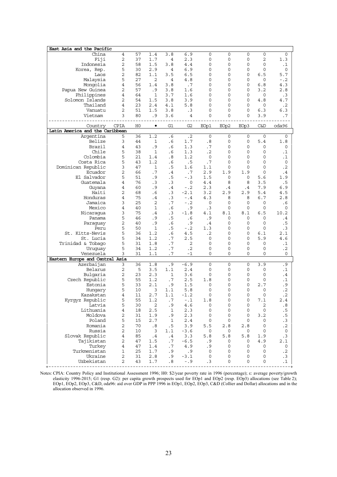| East Asia and the Pacific<br>China           | 4      | 57             | 1.4            | 3.8            | 6.9              | 0           | $\mathbf 0$      | 0      | 0              | 0                                                 |
|----------------------------------------------|--------|----------------|----------------|----------------|------------------|-------------|------------------|--------|----------------|---------------------------------------------------|
| Fiji                                         | 2      | 37             | 1.7            | 4              | 2.3              | 0           | 0                | 0      | 2              | 1.3                                               |
| Indonesia                                    | 2      | 58             | 1.5            | 3.8            | 4.4              | 0           | 0                | 0      | 0              | $\cdot$ 1                                         |
| Korea, Rep.                                  | 5      | 30             | 2.9            | 4              | 6.9              | 0           | 0                | 0      | 0              | 0                                                 |
|                                              | 2      |                | 1.1            | 3.5            | 6.5              | 0           | 0                | 0      | 6.5            | 5.7                                               |
| Laos                                         |        | 82             |                |                |                  |             |                  |        |                |                                                   |
| Malaysia                                     | 5      | 27             | $\overline{2}$ | $\overline{4}$ | 4.8              | 0           | $\Omega$         | 0      | 0              | $- 0.2$                                           |
| Mongolia                                     | 4      | 56             | 1.4            | 3.8            | .7               | 0           | 0                | 0      | 6.8            | 4.3                                               |
| Papua New Guinea                             | 2      | 57             | . 9            | 3.8            | 1.6              | 0           | 0                | 0      | 3.2            | 2.8                                               |
| Philippines                                  | 4      | 64             | $\mathbf{1}$   | 3.7            | 1.6              | 0           | 0                | 0      | $\mathbf 0$    | $\cdot$ 3                                         |
| Solomon Islands                              | 2      | 54             | 1.5            | 3.8            | 3.9              | $\Omega$    | $\Omega$         | 0      | 4.8            | 4.7                                               |
| Thailand                                     | 4      | 23             | 2.4            | 4.1            | 5.8              | 0           | $\Omega$         | 0      | $\mathbf 0$    | $\cdot$ 2                                         |
| Vanuatu                                      | 2      | 51             | 1.5            | 3.8            | $\cdot$ 3        | 0           | 0                | 0      | 6.3            | 6.3                                               |
| Vietnam                                      | 3      | 80             | . 9            | 3.6            | 4                | 0           | 0                | 0      | 3.9            | .7                                                |
| Country                                      | CPIA   | H <sub>0</sub> | $\bullet$      | G1             | G2               | EOp1        | EOp2             | EOp3   | C&D            | oda96                                             |
| Latin America and the Caribbean              |        |                |                |                |                  |             |                  |        |                |                                                   |
| Argentina                                    | 5      | 36             | 1.2            | .6             | $\cdot$ 2        | $\mathbf 0$ | $\mathbf 0$      | 0      | $\mathbf 0$    | 0                                                 |
| Belize                                       | 3      | 44             | 1              | . 6            | 1.7              | .8          | 0                | 0      | 5.4            | 1.8                                               |
| Brazil                                       | 4      | 43             | . 9            | . 6            | 1.3              | .7          | 0                | 0      | 0              | 0                                                 |
| Chile                                        | 5      | 38             | $\mathbf{1}$   | . 6            | 1.3              | $\cdot$ 2   | $\Omega$         | 0      | 0              | $\cdot$ 1                                         |
| Colombia                                     | 5      | 21             | 1.4            | .8             | 1.2              | 0           | 0                | 0      | 0              | .1                                                |
| Costa Rica                                   | 5      | 43             | 1.2            | . 6            | .5               | .7          | 0                | 0      | 0              | 0                                                 |
| Dominican Republic                           | 3      | 47             | 1              | . 5            | 1.6              | 1.1         | 0                | 0      | 0              | $\cdot$ 2                                         |
| Ecuador                                      | 2      | 66             | . 7            | $\cdot$ 4      | .7               | 2.9         | 1.9              | 1.9    | 0              | $\cdot$ 4                                         |
|                                              | 5      |                |                |                |                  |             |                  |        |                |                                                   |
| El Salvador                                  |        | 51             | . 9            | . 5            | $- .3$           | 1.5         | 0                | 0      | 5.6            | 1.9                                               |
| Guatemala                                    | 4      | 76             | .3             | $\cdot$ 3      | 0                | 4.4         | 8                | 8      | 3.5            | .5                                                |
| Guyana                                       | 4      | 60             | . 9            | .4             | $- .2$           | 2.3         | . 4              | .4     | 7.9            | 6.9                                               |
| Haiti                                        | 2      | 68             | . 6            | $\cdot$ 3      | $-2.1$           | 3.2         | 2.9              | 2.9    | 5.4            | 4.5                                               |
| Honduras                                     | 4      | 75             | . 4            | .3             | $- .4$           | 4.3         | 8                | 8      | 6.7            | 2.8                                               |
| Jamaica                                      | 3      | 25             | 2              | . 7            | $- .2$           | 0           | 0                | 0      | 0              | . 6                                               |
| Mexico                                       | 4      | 40             | 1              | . 6            | . 9              | $\cdot$ 3   | 0                | 0      | 0              | 0                                                 |
| Nicaragua                                    | 3      | 75             | . 4            | $\cdot$ 3      | $-1.8$           | 4.1         | 8.1              | 8.1    | 6.5            | 10.2                                              |
| Panama                                       | 5      | 46             | . 9            | . 5            | . 6              | . 9         | 0                | 0      | 0              | $\cdot$ 4                                         |
| Paraguay                                     | 2      | 40             | . 9            | . 6            | . 9              | .4          | 0                | 0      | 0              | .5                                                |
| Peru                                         | 5      | 50             | 1              | . 5            | - .2             | 1.3         | 0                | 0      | 0              | $\cdot$ 3                                         |
| St. Kitts-Nevis                              | 5      | 36             | 1.2            | . 6            | 4.5              | $\cdot$ 2   | $\Omega$         | 0      | 6.1            | 2.1                                               |
| St. Lucia                                    | 5      | 34             | 1.2            | . 7            | 2.5              | 0           | 0                | 0      | 5.9            | 4.6                                               |
| Trinidad & Tobago                            | 5      | 31             | 1.8            | . 7            | 2                | 0           | 0                | 0      | 0              | .1                                                |
|                                              |        |                |                |                | $\cdot$ 2        | 0           | 0                | 0      |                | $\cdot$ 2                                         |
| Uruguay                                      | 5      | 34             | 1.2            | . 7            |                  |             |                  |        | 0              |                                                   |
| Venezuela<br>Eastern Europe and Central Asia | 3      | 31             | 1.1            | . 7            | $-1$             | 0           | 0                | 0      | 0              | 0                                                 |
| Azerbaijan                                   | 3      | 36             | 1.8            | . 9            | $-6.9$           | 0           | $\mathbf 0$      | 0      | 3.9            | . 9                                               |
| Belarus                                      | 2      | 5              | 3.5            | 1.1            | 2.4              | 0           | 0                | 0      | 0              | .1                                                |
| Bulgaria                                     | 2      | 23             | 2.3            | 1              | 3.6              | 0           | $\mathbf 0$      | 0      | 0              | $\cdot$                                           |
| Czech Republic                               | 5      | 55             | 1.2            | .7             | 2.5              | 1.8         | 0                | 0      | 0              | .1                                                |
| Estonia                                      | 5      | 33             | 2.1            | .9             | 1.5              | 0           | 0                | 0      | 2.7            | .9                                                |
|                                              | 5      |                |                |                |                  | 0           | 0                |        |                | $\cdot$ 2                                         |
| Hungary                                      |        | 10             | 3              | 1.1            | 5.8              |             | $\Omega$         | 0      | 0              | $\cdot$ 2                                         |
| Kazakstan                                    | 4      | 11             | 2.7            | 1.1            | $-1.2$           | 0           |                  | 0      | 0              |                                                   |
| Kyrgyz Republic                              | 5      | 55             | 1.2            | . 7            | -.1              | 1.8         | 0                | 0      | 7.1            | 2.4                                               |
| Latvia                                       | 5      | 30             | $\mathbf 2$    | . 9            | 4.6              | 0           | 0                | 0      | $\overline{c}$ | .8                                                |
| Lithuania                                    | 4      | 18             | 2.5            | 1              | 2.3              | $\mathsf 0$ | $\mathbf 0$      | 0      | 0              | .5                                                |
|                                              | 2      | 31             | 1.9            | .9             | 2.3              | 0           | 0                | 0      | 3.2            | .5                                                |
| Moldova                                      | 5      | 15             | 2.7            | 1              | 2.4              | 0           | 0                | 0      | 0              | $\cdot$ 3                                         |
| Poland                                       |        |                |                | .5             | 3.9              | 5.5         | 2.8              | 2.8    | 0              | $\cdot$ 2                                         |
| Romania                                      | 2      | 70             | .8             |                |                  |             |                  |        |                |                                                   |
|                                              | 2      | 10             |                | 1.1            |                  | 0           | 0                | 0      | 0              |                                                   |
| Russia                                       |        |                | 3              |                | $-3.6$           |             |                  |        |                |                                                   |
| Slovak Republic                              | 4      | 85             | .4             | .4             | 3.3              | 5.8         | 5.8              | 5.8    | 1.9            |                                                   |
| Tajikistan                                   | 2      | 47             | 1.5            | .7             | $-6.5$           | . 9         | 0                | 0      | 4.9            |                                                   |
| Turkey                                       | 4      | 47             | 1.4            | .7             | 4.9              | .9          | $\mathbf 0$      | 0      | 0              |                                                   |
| Turkmenistan                                 | 1      | 25             | 1.7            | .9             | . 9              | 0           | $\mathbf 0$      | 0      | 0              | $\mathbf 0$<br>$\cdot$ 3<br>2.1<br>0<br>$\cdot$ 2 |
| Ukraine<br>Uzbekistan                        | 2<br>2 | 31<br>43       | 2.8<br>1.7     | .9<br>.8       | $-3.1$<br>$- .9$ | 0<br>.3     | $\mathbf 0$<br>0 | 0<br>0 | 0<br>0         | .3<br>$\cdot$ 1                                   |

Notes: CPIA: Country Policy and Institutional Assessment 1996; H0: \$2/year poverty rate in 1996 (percentage); ε: average poverty/growth elasticity 1996-2015; G1 (resp. G2): per capita growth prospects used for EOp1 and EOp2 (resp. EOp3) allocations (see Table 2); EOp1, EOp2, EOp3, C&D, oda96: aid over GDP in PPP 1996 in EOp1, EOp2, EOp3, C&D (Collier and Dollar) allocations and in the allocation observed in 1996.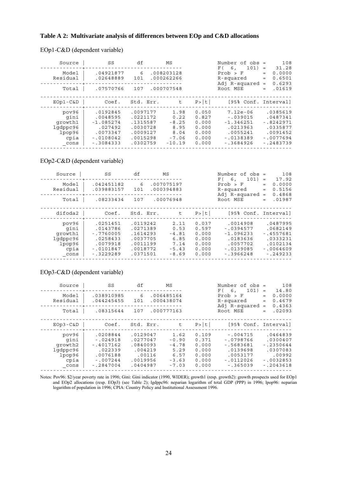#### **Table A 2: Multivariate analysis of differences between EOp and C&D allocations**

#### EOp1-C&D (dependent variable)

| Source<br>Model<br>Residual                                    | SS<br>.04921877<br>.02648889                                                             | df<br>6<br>101                                                                   | ΜS<br>.008203128<br>.000262266                                 |                                                             | Number of obs =<br>101)<br>6.<br>F(<br>Prob > F<br>R-squared<br>Adj $R$ -squared =            | 108<br>31.28<br>$=$<br>0.0000<br>$=$<br>0.6501<br>$=$<br>0.6293                            |
|----------------------------------------------------------------|------------------------------------------------------------------------------------------|----------------------------------------------------------------------------------|----------------------------------------------------------------|-------------------------------------------------------------|-----------------------------------------------------------------------------------------------|--------------------------------------------------------------------------------------------|
| Total                                                          | .07570766                                                                                | 107                                                                              | .000707548                                                     |                                                             | Root MSE                                                                                      | .01619<br>$=$                                                                              |
| $EOp1-C&D$                                                     | Coef.                                                                                    | Std. Err.                                                                        | t.                                                             | P >  t                                                      | [95% Conf. Interval]                                                                          |                                                                                            |
| pov96<br>gini<br>growth1<br>lqdppc96<br>lpop96<br>cpia<br>cons | .0192845<br>.0048595<br>$-1.085274$<br>.027492<br>.0073347<br>$-.0108042$<br>$-13084333$ | .0097177<br>.0221172<br>.1315587<br>.0030728<br>.0009127<br>.0015298<br>.0302759 | 1.98<br>0.22<br>$-8.25$<br>8.95<br>8.04<br>$-7.06$<br>$-10.19$ | 0.050<br>0.827<br>0.000<br>0.000<br>0.000<br>0.000<br>0.000 | $7.12e-06$<br>$-.039015$<br>$-1.346251$<br>.0213963<br>.0055241<br>$-10138389$<br>$-13684926$ | .0385619<br>.0487341<br>$-0.8242971$<br>.0335877<br>.0091452<br>$-10077694$<br>$-12483739$ |

#### EOp2-C&D (dependent variable)

| Source                                                         | SS                                                                                        | df                                                                               | ΜS                                                            |                                                             | Number of $obs =$<br>101)<br>F(6,                                                            | 108<br>17.92<br>$=$                                                                      |
|----------------------------------------------------------------|-------------------------------------------------------------------------------------------|----------------------------------------------------------------------------------|---------------------------------------------------------------|-------------------------------------------------------------|----------------------------------------------------------------------------------------------|------------------------------------------------------------------------------------------|
| Model<br>Residual                                              | .042451182<br>.039883157                                                                  | 6<br>101                                                                         | .007075197<br>.000394883                                      |                                                             | Prob > F<br>R-squared<br>Adj $R$ -squared =                                                  | 0.0000<br>$=$<br>0.5156<br>$=$<br>0.4868                                                 |
| Total                                                          | .08233434                                                                                 | 107                                                                              | .00076948                                                     |                                                             | Root MSE                                                                                     | .01987<br>$=$                                                                            |
| difoda2                                                        | Coef.                                                                                     | Std. Err.                                                                        | t.                                                            | P >  t                                                      | [95% Conf. Interval]                                                                         |                                                                                          |
| pov96<br>gini<br>growth1<br>lgdppc96<br>lpop96<br>cpia<br>cons | .0251451<br>.0143786<br>$-17760005$<br>.0258433<br>.0079918<br>$-.0101847$<br>$-13229289$ | .0119242<br>.0271389<br>.1614293<br>.0037705<br>.0011199<br>.0018772<br>.0371501 | 2.11<br>0.53<br>$-4.81$<br>6.85<br>7.14<br>$-5.43$<br>$-8.69$ | 0.037<br>0.597<br>0.000<br>0.000<br>0.000<br>0.000<br>0.000 | .0014908<br>$-.0394577$<br>$-1.096233$<br>.0183636<br>.0057702<br>$-10139085$<br>$-13966248$ | .0487995<br>.0682149<br>$-14557681$<br>.0333231<br>.0102134<br>$-.0064609$<br>$-1249233$ |

#### EOp3-C&D (dependent variable)

| Source                                                         | SS                                                                                        | df                                                                            | ΜS                                                               |                                                             | Number of $obs =$<br>101)<br>F(6,                                                            | 108<br>14.80<br>$=$                                                                     |
|----------------------------------------------------------------|-------------------------------------------------------------------------------------------|-------------------------------------------------------------------------------|------------------------------------------------------------------|-------------------------------------------------------------|----------------------------------------------------------------------------------------------|-----------------------------------------------------------------------------------------|
| Model<br>Residual                                              | .038910985<br>.044245455                                                                  | 6<br>101                                                                      | .006485164<br>.000438074                                         |                                                             | Prob > F<br>R-squared<br>Adj $R$ -squared =                                                  | 0.0000<br>$=$<br>0.4679<br>$=$<br>0.4363                                                |
| Total                                                          | .08315644                                                                                 | 107                                                                           | .000777163                                                       |                                                             | Root MSE                                                                                     | .02093<br>$=$                                                                           |
| $EOp3 - C&D$                                                   | Coef.                                                                                     | Std. Err.                                                                     | t                                                                | P >  t                                                      | [95% Conf. Interval]                                                                         |                                                                                         |
| pov96<br>gini<br>growth2<br>lqdppc96<br>lpop96<br>cpia<br>cons | .0208844<br>$-.024918$<br>$-14017162$<br>.022339<br>.0076188<br>$-.007244$<br>$-12847004$ | .0129047<br>.0277047<br>.0840093<br>.004219<br>.00116<br>.0019956<br>.0404987 | 1.62<br>$-0.90$<br>$-4.78$<br>5.29<br>6.57<br>$-3.63$<br>$-7.03$ | 0.109<br>0.371<br>0.000<br>0.000<br>0.000<br>0.000<br>0.000 | $-.004715$<br>$-0798766$<br>$-15683681$<br>.0139698<br>.0053177<br>$-.0112026$<br>$-1365039$ | .0464839<br>.0300407<br>$-12350644$<br>.0307083<br>.00992<br>$-10032853$<br>$-.2043618$ |

Notes: Pov96: \$2/year poverty rate in 1996; Gini: Gini indicator (1990, WIDER); growth1 (resp. growth2): growth prospects used for EOp1 and EOp2 allocations (resp. EOp3) (see Table 2); lgdppc96: neparian logarithm of total GDP (PPP) in 1996; lpop96: neparian logarithm of population in 1996; CPIA: Country Policy and Institutional Assessment 1996.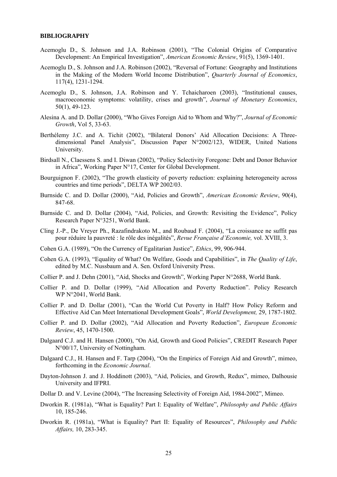#### **BIBLIOGRAPHY**

- Acemoglu D., S. Johnson and J.A. Robinson (2001), "The Colonial Origins of Comparative Development: An Empirical Investigation", *American Economic Review*, 91(5), 1369-1401.
- Acemoglu D., S. Johnson and J.A. Robinson (2002), "Reversal of Fortune: Geography and Institutions in the Making of the Modern World Income Distribution", *Quarterly Journal of Economics*, 117(4), 1231-1294.
- Acemoglu D., S. Johnson, J.A. Robinson and Y. Tchaicharoen (2003), "Institutional causes, macroeconomic symptoms: volatility, crises and growth", *Journal of Monetary Economics*, 50(1), 49-123.
- Alesina A. and D. Dollar (2000), "Who Gives Foreign Aid to Whom and Why?", *Journal of Economic Growth*, Vol 5, 33-63.
- Berthélemy J.C. and A. Tichit (2002), "Bilateral Donors' Aid Allocation Decisions: A Threedimensional Panel Analysis", Discussion Paper N°2002/123, WIDER, United Nations University.
- Birdsall N., Claessens S. and I. Diwan (2002), "Policy Selectivity Foregone: Debt and Donor Behavior in Africa", Working Paper N°17, Center for Global Development.
- Bourguignon F. (2002), "The growth elasticity of poverty reduction: explaining heterogeneity across countries and time periods", DELTA WP 2002/03.
- Burnside C. and D. Dollar (2000), "Aid, Policies and Growth", *American Economic Review*, 90(4), 847-68.
- Burnside C. and D. Dollar (2004), "Aid, Policies, and Growth: Revisiting the Evidence", Policy Research Paper N°3251, World Bank.
- Cling J.-P., De Vreyer Ph., Razafindrakoto M., and Roubaud F. (2004), "La croissance ne suffit pas pour réduire la pauvreté : le rôle des inégalités", *Revue Française d'Economie,* vol. XVIII, 3.
- Cohen G.A. (1989), "On the Currency of Egalitarian Justice", *Ethics*, 99, 906-944.
- Cohen G.A. (1993), "Equality of What? On Welfare, Goods and Capabilities", in *The Quality of Life*, edited by M.C. Nussbaum and A. Sen. Oxford University Press.
- Collier P. and J. Dehn (2001), "Aid, Shocks and Growth", Working Paper N°2688, World Bank.
- Collier P. and D. Dollar (1999), "Aid Allocation and Poverty Reduction". Policy Research WP N°2041, World Bank.
- Collier P. and D. Dollar (2001), "Can the World Cut Poverty in Half? How Policy Reform and Effective Aid Can Meet International Development Goals", *World Development,* 29, 1787-1802.
- Collier P. and D. Dollar (2002), "Aid Allocation and Poverty Reduction", *European Economic Review*, 45, 1470-1500.
- Dalgaard C.J. and H. Hansen (2000), "On Aid, Growth and Good Policies", CREDIT Research Paper N°00/17, University of Nottingham.
- Dalgaard C.J., H. Hansen and F. Tarp (2004), "On the Empirics of Foreign Aid and Growth", mimeo, forthcoming in the *Economic Journal*.
- Dayton-Johnson J. and J. Hoddinott (2003), "Aid, Policies, and Growth, Redux", mimeo, Dalhousie University and IFPRI.
- Dollar D. and V. Levine (2004), "The Increasing Selectivity of Foreign Aid, 1984-2002", Mimeo.
- Dworkin R. (1981a), "What is Equality? Part I: Equality of Welfare", *Philosophy and Public Affairs* 10, 185-246.
- Dworkin R. (1981a), "What is Equality? Part II: Equality of Resources", *Philosophy and Public Affairs,* 10, 283-345.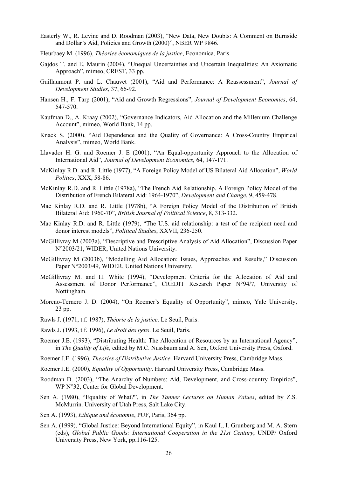- Easterly W., R. Levine and D. Roodman (2003), "New Data, New Doubts: A Comment on Burnside and Dollar's Aid, Policies and Growth (2000)", NBER WP 9846.
- Fleurbaey M. (1996), *Théories économiques de la justice*, Economica, Paris.
- Gajdos T. and E. Maurin (2004), "Unequal Uncertainties and Uncertain Inequalities: An Axiomatic Approach", mimeo, CREST, 33 pp.
- Guillaumont P. and L. Chauvet (2001), "Aid and Performance: A Reassessment", *Journal of Development Studies*, 37, 66-92.
- Hansen H., F. Tarp (2001), "Aid and Growth Regressions", *Journal of Development Economics*, 64, 547-570.
- Kaufman D., A. Kraay (2002), "Governance Indicators, Aid Allocation and the Millenium Challenge Account", mimeo, World Bank, 14 pp.
- Knack S. (2000), "Aid Dependence and the Quality of Governance: A Cross-Country Empirical Analysis", mimeo, World Bank.
- Llavador H. G. and Roemer J. E (2001), "An Equal-opportunity Approach to the Allocation of International Aid", *Journal of Development Economics,* 64, 147-171.
- McKinlay R.D. and R. Little (1977), "A Foreign Policy Model of US Bilateral Aid Allocation", *World Politics*, XXX, 58-86.
- McKinlay R.D. and R. Little (1978a), "The French Aid Relationship. A Foreign Policy Model of the Distribution of French Bilateral Aid: 1964-1970", *Development and Change*, 9, 459-478.
- Mac Kinlay R.D. and R. Little (1978b), "A Foreign Policy Model of the Distribution of British Bilateral Aid: 1960-70", *British Journal of Political Science*, 8, 313-332.
- Mac Kinlay R.D. and R. Little (1979), "The U.S. aid relationship: a test of the recipient need and donor interest models", *Political Studies*, XXVII, 236-250.
- McGillivray M (2003a), "Descriptive and Prescriptive Analysis of Aid Allocation", Discussion Paper N°2003/21, WIDER, United Nations University.
- McGillivray M (2003b), "Modelling Aid Allocation: Issues, Approaches and Results," Discussion Paper N°2003/49, WIDER, United Nations University.
- McGillivray M. and H. White (1994), "Development Criteria for the Allocation of Aid and Assessment of Donor Performance", CREDIT Research Paper N°94/7, University of Nottingham.
- Moreno-Ternero J. D. (2004), "On Roemer's Equality of Opportunity", mimeo, Yale University, 23 pp.
- Rawls J. (1971, t.f. 1987), *Théorie de la justice*. Le Seuil, Paris.
- Rawls J. (1993, t.f. 1996), *Le droit des gens*. Le Seuil, Paris.
- Roemer J.E. (1993), "Distributing Health: The Allocation of Resources by an International Agency", in *The Quality of Life*, edited by M.C. Nussbaum and A. Sen, Oxford University Press, Oxford.
- Roemer J.E. (1996), *Theories of Distributive Justice*. Harvard University Press, Cambridge Mass.
- Roemer J.E. (2000), *Equality of Opportunity*. Harvard University Press, Cambridge Mass.
- Roodman D. (2003), "The Anarchy of Numbers: Aid, Development, and Cross-country Empirics", WP N°32, Center for Global Development.
- Sen A. (1980), "Equality of What?", in *The Tanner Lectures on Human Values*, edited by Z.S. McMurrin. University of Utah Press, Salt Lake City.
- Sen A. (1993), *Ethique and économie*, PUF, Paris, 364 pp.
- Sen A. (1999), "Global Justice: Beyond International Equity", in Kaul I., I. Grunberg and M. A. Stern (eds), *Global Public Goods: International Cooperation in the 21st Century*, UNDP/ Oxford University Press, New York, pp.116-125.